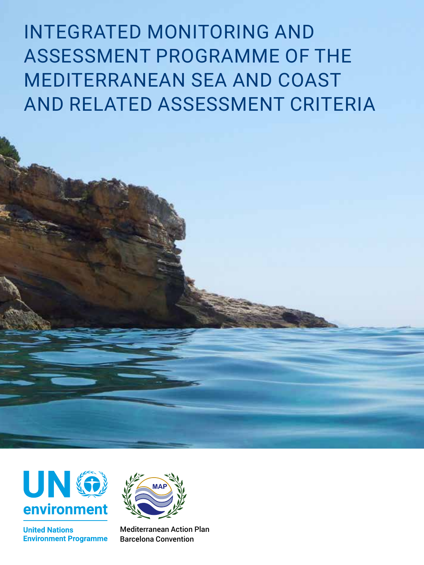INTEGRATED MONITORING AND ASSESSMENT PROGRAMME OF THE MEDITERRANEAN SEA AND COAST AND RELATED ASSESSMENT CRITERIA



**United Nations Environment Programme** 



Mediterranean Action Plan Barcelona Convention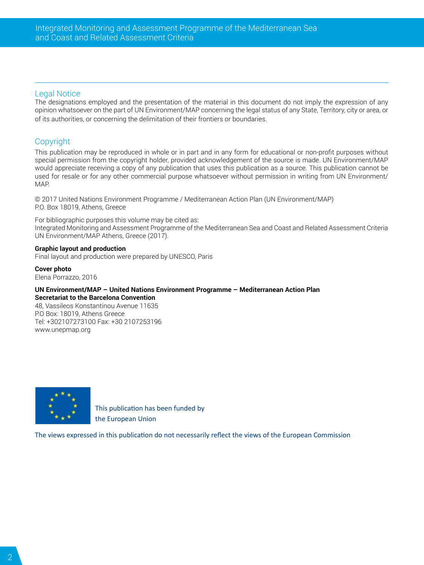#### Legal Notice

The designations employed and the presentation of the material in this document do not imply the expression of any opinion whatsoever on the part of UN Environment/MAP concerning the legal status of any State, Territory, city or area, or of its authorities, or concerning the delimitation of their frontiers or boundaries.

#### **Copyright**

This publication may be reproduced in whole or in part and in any form for educational or non-profit purposes without special permission from the copyright holder, provided acknowledgement of the source is made. UN Environment/MAP would appreciate receiving a copy of any publication that uses this publication as a source. This publication cannot be used for resale or for any other commercial purpose whatsoever without permission in writing from UN Environment/ MAP.

© 2017 United Nations Environment Programme / Mediterranean Action Plan (UN Environment/MAP) P.O. Box 18019, Athens, Greece

For bibliographic purposes this volume may be cited as: Integrated Monitoring and Assessment Programme of the Mediterranean Sea and Coast and Related Assessment Criteria UN Environment/MAP Athens, Greece (2017).

#### **Graphic layout and production**

Final layout and production were prepared by UNESCO, Paris

**Cover photo**  Elena Porrazzo, 2016

#### **UN Environment/MAP – United Nations Environment Programme – Mediterranean Action Plan Secretariat to the Barcelona Convention**

48, Vassileos Konstantinou Avenue 11635 P.O Box: 18019, Athens Greece Tel: +302107273100 Fax: +30 2107253196 www.unepmap.org



This publication has been funded by the European Union

The views expressed in this publication do not necessarily reflect the views of the European Commission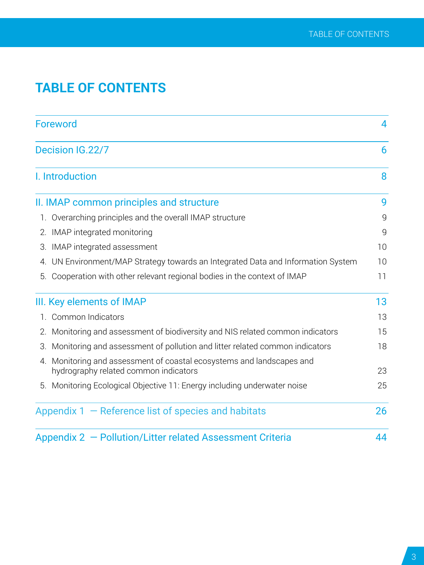# **TABLE OF CONTENTS**

|    | <b>Foreword</b>                                                                                                |    |  |  |
|----|----------------------------------------------------------------------------------------------------------------|----|--|--|
|    | Decision IG.22/7                                                                                               |    |  |  |
|    | I. Introduction                                                                                                | 8  |  |  |
|    | II. IMAP common principles and structure                                                                       | 9  |  |  |
|    | 1. Overarching principles and the overall IMAP structure                                                       | 9  |  |  |
|    | 2. IMAP integrated monitoring                                                                                  | 9  |  |  |
|    | 3. IMAP integrated assessment                                                                                  | 10 |  |  |
|    | 4. UN Environment/MAP Strategy towards an Integrated Data and Information System                               | 10 |  |  |
| 5. | Cooperation with other relevant regional bodies in the context of IMAP                                         | 11 |  |  |
|    | III. Key elements of IMAP                                                                                      | 13 |  |  |
|    | 1. Common Indicators                                                                                           | 13 |  |  |
|    | 2. Monitoring and assessment of biodiversity and NIS related common indicators                                 | 15 |  |  |
|    | 3. Monitoring and assessment of pollution and litter related common indicators                                 | 18 |  |  |
|    | 4. Monitoring and assessment of coastal ecosystems and landscapes and<br>hydrography related common indicators | 23 |  |  |
|    | 5. Monitoring Ecological Objective 11: Energy including underwater noise                                       | 25 |  |  |
|    | Appendix $1 -$ Reference list of species and habitats                                                          | 26 |  |  |
|    | Appendix 2 - Pollution/Litter related Assessment Criteria                                                      | 44 |  |  |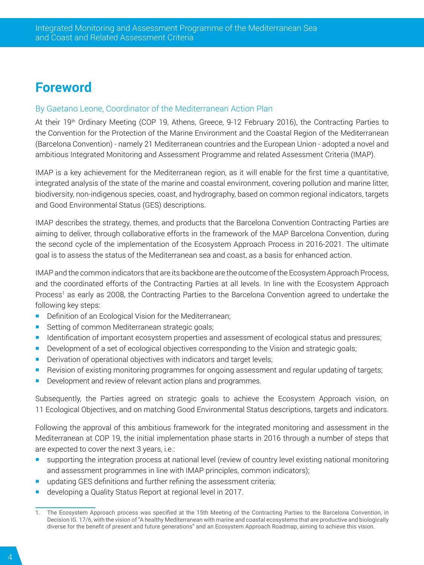# <span id="page-3-0"></span>**Foreword**

#### By Gaetano Leone, Coordinator of the Mediterranean Action Plan

At their 19<sup>th</sup> Ordinary Meeting (COP 19, Athens, Greece, 9-12 February 2016), the Contracting Parties to the Convention for the Protection of the Marine Environment and the Coastal Region of the Mediterranean (Barcelona Convention) - namely 21 Mediterranean countries and the European Union - adopted a novel and ambitious Integrated Monitoring and Assessment Programme and related Assessment Criteria (IMAP).

IMAP is a key achievement for the Mediterranean region, as it will enable for the first time a quantitative, integrated analysis of the state of the marine and coastal environment, covering pollution and marine litter, biodiversity, non-indigenous species, coast, and hydrography, based on common regional indicators, targets and Good Environmental Status (GES) descriptions.

IMAP describes the strategy, themes, and products that the Barcelona Convention Contracting Parties are aiming to deliver, through collaborative efforts in the framework of the MAP Barcelona Convention, during the second cycle of the implementation of the Ecosystem Approach Process in 2016-2021. The ultimate goal is to assess the status of the Mediterranean sea and coast, as a basis for enhanced action.

IMAP and the common indicators that are its backbone are the outcome of the Ecosystem Approach Process, and the coordinated efforts of the Contracting Parties at all levels. In line with the Ecosystem Approach Process<sup>1</sup> as early as 2008, the Contracting Parties to the Barcelona Convention agreed to undertake the following key steps:

- Definition of an Ecological Vision for the Mediterranean;
- Setting of common Mediterranean strategic goals;
- Identification of important ecosystem properties and assessment of ecological status and pressures;
- **Development of a set of ecological objectives corresponding to the Vision and strategic goals;**
- **Derivation of operational objectives with indicators and target levels;**
- Revision of existing monitoring programmes for ongoing assessment and regular updating of targets;
- Development and review of relevant action plans and programmes.

Subsequently, the Parties agreed on strategic goals to achieve the Ecosystem Approach vision, on 11 Ecological Objectives, and on matching Good Environmental Status descriptions, targets and indicators.

Following the approval of this ambitious framework for the integrated monitoring and assessment in the Mediterranean at COP 19, the initial implementation phase starts in 2016 through a number of steps that are expected to cover the next 3 years, i.e.:

- supporting the integration process at national level (review of country level existing national monitoring and assessment programmes in line with IMAP principles, common indicators);
- updating GES definitions and further refining the assessment criteria;
- developing a Quality Status Report at regional level in 2017.

<sup>1.</sup> The Ecosystem Approach process was specified at the 15th Meeting of the Contracting Parties to the Barcelona Convention, in Decision IG. 17/6, with the vision of "A healthy Mediterranean with marine and coastal ecosystems that are productive and biologically diverse for the benefit of present and future generations" and an Ecosystem Approach Roadmap, aiming to achieve this vision.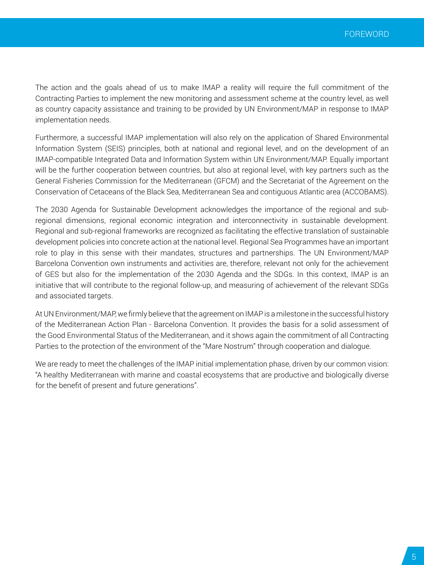The action and the goals ahead of us to make IMAP a reality will require the full commitment of the Contracting Parties to implement the new monitoring and assessment scheme at the country level, as well as country capacity assistance and training to be provided by UN Environment/MAP in response to IMAP implementation needs.

Furthermore, a successful IMAP implementation will also rely on the application of Shared Environmental Information System (SEIS) principles, both at national and regional level, and on the development of an IMAP-compatible Integrated Data and Information System within UN Environment/MAP. Equally important will be the further cooperation between countries, but also at regional level, with key partners such as the General Fisheries Commission for the Mediterranean (GFCM) and the Secretariat of the Agreement on the Conservation of Cetaceans of the Black Sea, Mediterranean Sea and contiguous Atlantic area (ACCOBAMS).

The 2030 Agenda for Sustainable Development acknowledges the importance of the regional and subregional dimensions, regional economic integration and interconnectivity in sustainable development. Regional and sub-regional frameworks are recognized as facilitating the effective translation of sustainable development policies into concrete action at the national level. Regional Sea Programmes have an important role to play in this sense with their mandates, structures and partnerships. The UN Environment/MAP Barcelona Convention own instruments and activities are, therefore, relevant not only for the achievement of GES but also for the implementation of the 2030 Agenda and the SDGs. In this context, IMAP is an initiative that will contribute to the regional follow-up, and measuring of achievement of the relevant SDGs and associated targets.

At UN Environment/MAP, we firmly believe that the agreement on IMAP is a milestone in the successful history of the Mediterranean Action Plan - Barcelona Convention. It provides the basis for a solid assessment of the Good Environmental Status of the Mediterranean, and it shows again the commitment of all Contracting Parties to the protection of the environment of the "Mare Nostrum" through cooperation and dialogue.

We are ready to meet the challenges of the IMAP initial implementation phase, driven by our common vision: "A healthy Mediterranean with marine and coastal ecosystems that are productive and biologically diverse for the benefit of present and future generations".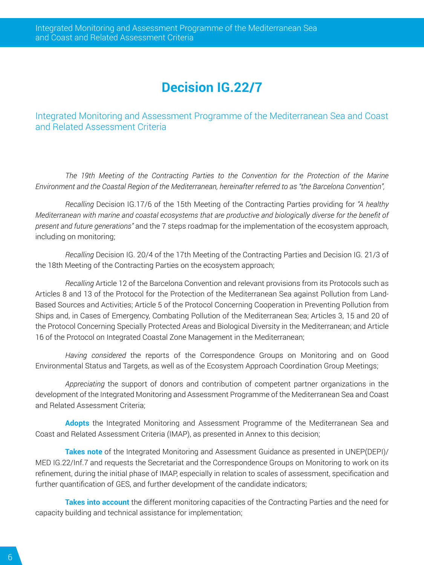# **Decision IG.22/7**

<span id="page-5-0"></span>Integrated Monitoring and Assessment Programme of the Mediterranean Sea and Coast and Related Assessment Criteria

*The 19th Meeting of the Contracting Parties to the Convention for the Protection of the Marine Environment and the Coastal Region of the Mediterranean, hereinafter referred to as "the Barcelona Convention",*

*Recalling* Decision IG.17/6 of the 15th Meeting of the Contracting Parties providing for *"A healthy Mediterranean with marine and coastal ecosystems that are productive and biologically diverse for the benefit of present and future generations"* and the 7 steps roadmap for the implementation of the ecosystem approach, including on monitoring;

*Recalling* Decision IG. 20/4 of the 17th Meeting of the Contracting Parties and Decision IG. 21/3 of the 18th Meeting of the Contracting Parties on the ecosystem approach;

*Recalling* Article 12 of the Barcelona Convention and relevant provisions from its Protocols such as Articles 8 and 13 of the Protocol for the Protection of the Mediterranean Sea against Pollution from Land-Based Sources and Activities; Article 5 of the Protocol Concerning Cooperation in Preventing Pollution from Ships and, in Cases of Emergency, Combating Pollution of the Mediterranean Sea; Articles 3, 15 and 20 of the Protocol Concerning Specially Protected Areas and Biological Diversity in the Mediterranean; and Article 16 of the Protocol on Integrated Coastal Zone Management in the Mediterranean;

*Having considered* the reports of the Correspondence Groups on Monitoring and on Good Environmental Status and Targets, as well as of the Ecosystem Approach Coordination Group Meetings;

*Appreciating* the support of donors and contribution of competent partner organizations in the development of the Integrated Monitoring and Assessment Programme of the Mediterranean Sea and Coast and Related Assessment Criteria;

**Adopts** the Integrated Monitoring and Assessment Programme of the Mediterranean Sea and Coast and Related Assessment Criteria (IMAP), as presented in Annex to this decision;

**Takes note** of the Integrated Monitoring and Assessment Guidance as presented in UNEP(DEPI)/ MED IG.22/Inf.7 and requests the Secretariat and the Correspondence Groups on Monitoring to work on its refinement, during the initial phase of IMAP, especially in relation to scales of assessment, specification and further quantification of GES, and further development of the candidate indicators;

**Takes into account** the different monitoring capacities of the Contracting Parties and the need for capacity building and technical assistance for implementation;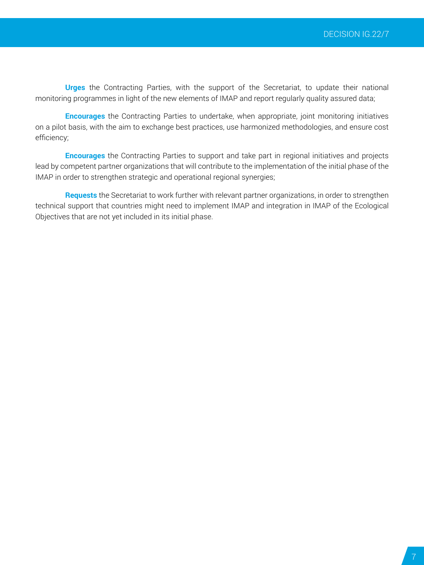**Urges** the Contracting Parties, with the support of the Secretariat, to update their national monitoring programmes in light of the new elements of IMAP and report regularly quality assured data;

**Encourages** the Contracting Parties to undertake, when appropriate, joint monitoring initiatives on a pilot basis, with the aim to exchange best practices, use harmonized methodologies, and ensure cost efficiency;

**Encourages** the Contracting Parties to support and take part in regional initiatives and projects lead by competent partner organizations that will contribute to the implementation of the initial phase of the IMAP in order to strengthen strategic and operational regional synergies;

**Requests** the Secretariat to work further with relevant partner organizations, in order to strengthen technical support that countries might need to implement IMAP and integration in IMAP of the Ecological Objectives that are not yet included in its initial phase.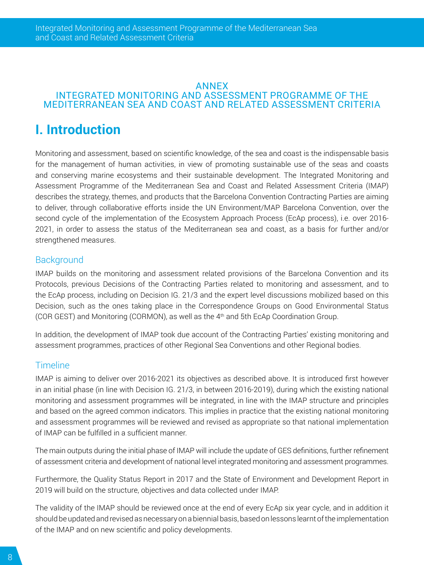#### <span id="page-7-0"></span>ANNEX INTEGRATED MONITORING AND ASSESSMENT PROGRAMME OF THE MEDITERRANEAN SEA AND COAST AND RELATED ASSESSMENT CRITERIA

# **I. Introduction**

Monitoring and assessment, based on scientific knowledge, of the sea and coast is the indispensable basis for the management of human activities, in view of promoting sustainable use of the seas and coasts and conserving marine ecosystems and their sustainable development. The Integrated Monitoring and Assessment Programme of the Mediterranean Sea and Coast and Related Assessment Criteria (IMAP) describes the strategy, themes, and products that the Barcelona Convention Contracting Parties are aiming to deliver, through collaborative efforts inside the UN Environment/MAP Barcelona Convention, over the second cycle of the implementation of the Ecosystem Approach Process (EcAp process), i.e. over 2016- 2021, in order to assess the status of the Mediterranean sea and coast, as a basis for further and/or strengthened measures.

#### **Background**

IMAP builds on the monitoring and assessment related provisions of the Barcelona Convention and its Protocols, previous Decisions of the Contracting Parties related to monitoring and assessment, and to the EcAp process, including on Decision IG. 21/3 and the expert level discussions mobilized based on this Decision, such as the ones taking place in the Correspondence Groups on Good Environmental Status (COR GEST) and Monitoring (CORMON), as well as the 4th and 5th EcAp Coordination Group.

In addition, the development of IMAP took due account of the Contracting Parties' existing monitoring and assessment programmes, practices of other Regional Sea Conventions and other Regional bodies.

#### **Timeline**

IMAP is aiming to deliver over 2016-2021 its objectives as described above. It is introduced first however in an initial phase (in line with Decision IG. 21/3, in between 2016-2019), during which the existing national monitoring and assessment programmes will be integrated, in line with the IMAP structure and principles and based on the agreed common indicators. This implies in practice that the existing national monitoring and assessment programmes will be reviewed and revised as appropriate so that national implementation of IMAP can be fulfilled in a sufficient manner.

The main outputs during the initial phase of IMAP will include the update of GES definitions, further refinement of assessment criteria and development of national level integrated monitoring and assessment programmes.

Furthermore, the Quality Status Report in 2017 and the State of Environment and Development Report in 2019 will build on the structure, objectives and data collected under IMAP.

The validity of the IMAP should be reviewed once at the end of every EcAp six year cycle, and in addition it should be updated and revised as necessary on a biennial basis, based on lessons learnt of the implementation of the IMAP and on new scientific and policy developments.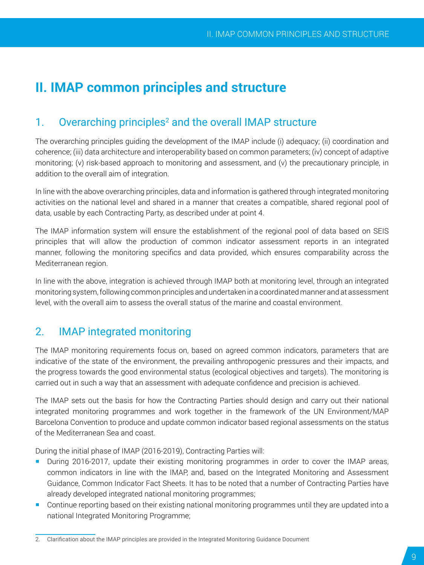# <span id="page-8-0"></span>**II. IMAP common principles and structure**

# 1. Overarching principles<sup>2</sup> and the overall IMAP structure

The overarching principles guiding the development of the IMAP include (i) adequacy; (ii) coordination and coherence; (iii) data architecture and interoperability based on common parameters; (iv) concept of adaptive monitoring; (v) risk-based approach to monitoring and assessment, and (v) the precautionary principle, in addition to the overall aim of integration.

In line with the above overarching principles, data and information is gathered through integrated monitoring activities on the national level and shared in a manner that creates a compatible, shared regional pool of data, usable by each Contracting Party, as described under at point 4.

The IMAP information system will ensure the establishment of the regional pool of data based on SEIS principles that will allow the production of common indicator assessment reports in an integrated manner, following the monitoring specifics and data provided, which ensures comparability across the Mediterranean region.

In line with the above, integration is achieved through IMAP both at monitoring level, through an integrated monitoring system, following common principles and undertaken in a coordinated manner and at assessment level, with the overall aim to assess the overall status of the marine and coastal environment.

# 2. IMAP integrated monitoring

The IMAP monitoring requirements focus on, based on agreed common indicators, parameters that are indicative of the state of the environment, the prevailing anthropogenic pressures and their impacts, and the progress towards the good environmental status (ecological objectives and targets). The monitoring is carried out in such a way that an assessment with adequate confidence and precision is achieved.

The IMAP sets out the basis for how the Contracting Parties should design and carry out their national integrated monitoring programmes and work together in the framework of the UN Environment/MAP Barcelona Convention to produce and update common indicator based regional assessments on the status of the Mediterranean Sea and coast.

During the initial phase of IMAP (2016-2019), Contracting Parties will:

- During 2016-2017, update their existing monitoring programmes in order to cover the IMAP areas, common indicators in line with the IMAP, and, based on the Integrated Monitoring and Assessment Guidance, Common Indicator Fact Sheets. It has to be noted that a number of Contracting Parties have already developed integrated national monitoring programmes;
- Continue reporting based on their existing national monitoring programmes until they are updated into a national Integrated Monitoring Programme;

<sup>2.</sup> Clarification about the IMAP principles are provided in the Integrated Monitoring Guidance Document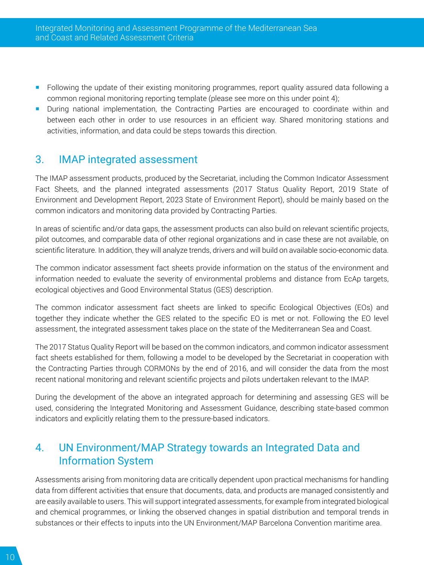- <span id="page-9-0"></span>**F** Following the update of their existing monitoring programmes, report quality assured data following a common regional monitoring reporting template (please see more on this under point 4);
- **During national implementation, the Contracting Parties are encouraged to coordinate within and** between each other in order to use resources in an efficient way. Shared monitoring stations and activities, information, and data could be steps towards this direction.

# 3. IMAP integrated assessment

The IMAP assessment products, produced by the Secretariat, including the Common Indicator Assessment Fact Sheets, and the planned integrated assessments (2017 Status Quality Report, 2019 State of Environment and Development Report, 2023 State of Environment Report), should be mainly based on the common indicators and monitoring data provided by Contracting Parties.

In areas of scientific and/or data gaps, the assessment products can also build on relevant scientific projects, pilot outcomes, and comparable data of other regional organizations and in case these are not available, on scientific literature. In addition, they will analyze trends, drivers and will build on available socio-economic data.

The common indicator assessment fact sheets provide information on the status of the environment and information needed to evaluate the severity of environmental problems and distance from EcAp targets, ecological objectives and Good Environmental Status (GES) description.

The common indicator assessment fact sheets are linked to specific Ecological Objectives (EOs) and together they indicate whether the GES related to the specific EO is met or not. Following the EO level assessment, the integrated assessment takes place on the state of the Mediterranean Sea and Coast.

The 2017 Status Quality Report will be based on the common indicators, and common indicator assessment fact sheets established for them, following a model to be developed by the Secretariat in cooperation with the Contracting Parties through CORMONs by the end of 2016, and will consider the data from the most recent national monitoring and relevant scientific projects and pilots undertaken relevant to the IMAP.

During the development of the above an integrated approach for determining and assessing GES will be used, considering the Integrated Monitoring and Assessment Guidance, describing state-based common indicators and explicitly relating them to the pressure-based indicators.

# 4. UN Environment/MAP Strategy towards an Integrated Data and Information System

Assessments arising from monitoring data are critically dependent upon practical mechanisms for handling data from different activities that ensure that documents, data, and products are managed consistently and are easily available to users. This will support integrated assessments, for example from integrated biological and chemical programmes, or linking the observed changes in spatial distribution and temporal trends in substances or their effects to inputs into the UN Environment/MAP Barcelona Convention maritime area.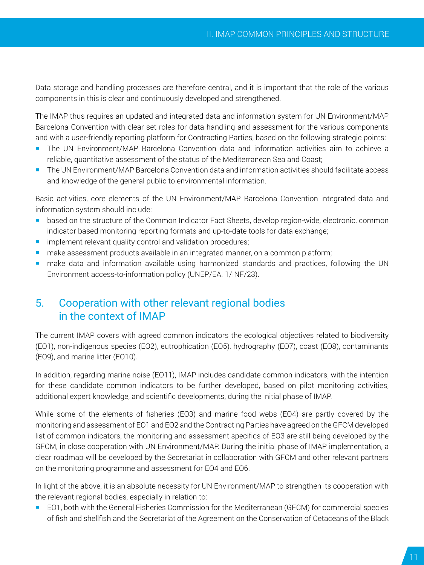<span id="page-10-0"></span>Data storage and handling processes are therefore central, and it is important that the role of the various components in this is clear and continuously developed and strengthened.

The IMAP thus requires an updated and integrated data and information system for UN Environment/MAP Barcelona Convention with clear set roles for data handling and assessment for the various components and with a user-friendly reporting platform for Contracting Parties, based on the following strategic points:

- The UN Environment/MAP Barcelona Convention data and information activities aim to achieve a reliable, quantitative assessment of the status of the Mediterranean Sea and Coast;
- The UN Environment/MAP Barcelona Convention data and information activities should facilitate access and knowledge of the general public to environmental information.

Basic activities, core elements of the UN Environment/MAP Barcelona Convention integrated data and information system should include:

- **based on the structure of the Common Indicator Fact Sheets, develop region-wide, electronic, common** indicator based monitoring reporting formats and up-to-date tools for data exchange;
- **F** implement relevant quality control and validation procedures;
- **nake assessment products available in an integrated manner, on a common platform;**
- **n** make data and information available using harmonized standards and practices, following the UN Environment access-to-information policy (UNEP/EA. 1/INF/23).

# 5. Cooperation with other relevant regional bodies in the context of IMAP

The current IMAP covers with agreed common indicators the ecological objectives related to biodiversity (EO1), non-indigenous species (EO2), eutrophication (EO5), hydrography (EO7), coast (EO8), contaminants (EO9), and marine litter (EO10).

In addition, regarding marine noise (EO11), IMAP includes candidate common indicators, with the intention for these candidate common indicators to be further developed, based on pilot monitoring activities, additional expert knowledge, and scientific developments, during the initial phase of IMAP.

While some of the elements of fisheries (EO3) and marine food webs (EO4) are partly covered by the monitoring and assessment of EO1 and EO2 and the Contracting Parties have agreed on the GFCM developed list of common indicators, the monitoring and assessment specifics of EO3 are still being developed by the GFCM, in close cooperation with UN Environment/MAP. During the initial phase of IMAP implementation, a clear roadmap will be developed by the Secretariat in collaboration with GFCM and other relevant partners on the monitoring programme and assessment for EO4 and EO6.

In light of the above, it is an absolute necessity for UN Environment/MAP to strengthen its cooperation with the relevant regional bodies, especially in relation to:

 EO1, both with the General Fisheries Commission for the Mediterranean (GFCM) for commercial species of fish and shellfish and the Secretariat of the Agreement on the Conservation of Cetaceans of the Black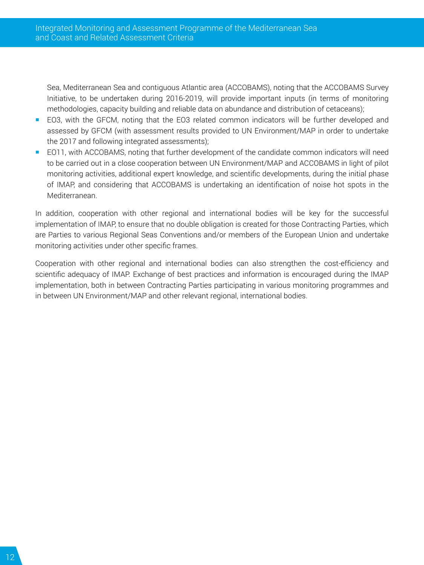Sea, Mediterranean Sea and contiguous Atlantic area (ACCOBAMS), noting that the ACCOBAMS Survey Initiative, to be undertaken during 2016-2019, will provide important inputs (in terms of monitoring methodologies, capacity building and reliable data on abundance and distribution of cetaceans);

- EO3, with the GFCM, noting that the EO3 related common indicators will be further developed and assessed by GFCM (with assessment results provided to UN Environment/MAP in order to undertake the 2017 and following integrated assessments);
- EO11, with ACCOBAMS, noting that further development of the candidate common indicators will need to be carried out in a close cooperation between UN Environment/MAP and ACCOBAMS in light of pilot monitoring activities, additional expert knowledge, and scientific developments, during the initial phase of IMAP, and considering that ACCOBAMS is undertaking an identification of noise hot spots in the Mediterranean.

In addition, cooperation with other regional and international bodies will be key for the successful implementation of IMAP, to ensure that no double obligation is created for those Contracting Parties, which are Parties to various Regional Seas Conventions and/or members of the European Union and undertake monitoring activities under other specific frames.

Cooperation with other regional and international bodies can also strengthen the cost-efficiency and scientific adequacy of IMAP. Exchange of best practices and information is encouraged during the IMAP implementation, both in between Contracting Parties participating in various monitoring programmes and in between UN Environment/MAP and other relevant regional, international bodies.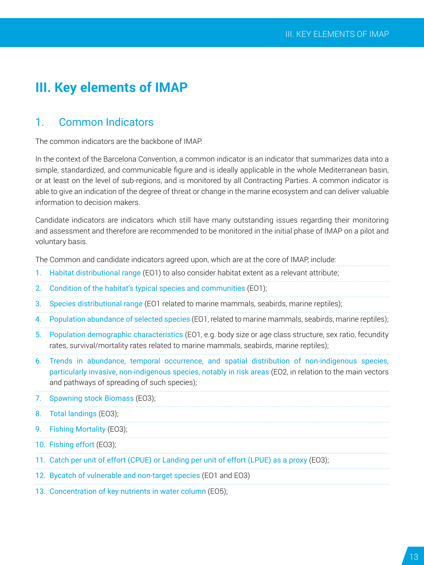# <span id="page-12-0"></span>**III. Key elements of IMAP**

## 1. Common Indicators

The common indicators are the backbone of IMAP.

In the context of the Barcelona Convention, a common indicator is an indicator that summarizes data into a simple, standardized, and communicable figure and is ideally applicable in the whole Mediterranean basin, or at least on the level of sub-regions, and is monitored by all Contracting Parties. A common indicator is able to give an indication of the degree of threat or change in the marine ecosystem and can deliver valuable information to decision makers.

Candidate indicators are indicators which still have many outstanding issues regarding their monitoring and assessment and therefore are recommended to be monitored in the initial phase of IMAP on a pilot and voluntary basis.

The Common and candidate indicators agreed upon, which are at the core of IMAP, include:

- 1. Habitat distributional range (EO1) to also consider habitat extent as a relevant attribute;
- 2. Condition of the habitat's typical species and communities (EO1);
- 3. Species distributional range (EO1 related to marine mammals, seabirds, marine reptiles);
- 4. Population abundance of selected species (EO1, related to marine mammals, seabirds, marine reptiles);
- 5. Population demographic characteristics (EO1, e.g. body size or age class structure, sex ratio, fecundity rates, survival/mortality rates related to marine mammals, seabirds, marine reptiles);
- 6. Trends in abundance, temporal occurrence, and spatial distribution of non-indigenous species, particularly invasive, non-indigenous species, notably in risk areas (EO2, in relation to the main vectors and pathways of spreading of such species);
- 7. Spawning stock Biomass (EO3);
- 8. Total landings (EO3);
- 9. Fishing Mortality (EO3);
- 10. Fishing effort (EO3);
- 11. Catch per unit of effort (CPUE) or Landing per unit of effort (LPUE) as a proxy (EO3);
- 12. Bycatch of vulnerable and non-target species (EO1 and EO3)
- 13. Concentration of key nutrients in water column (EO5);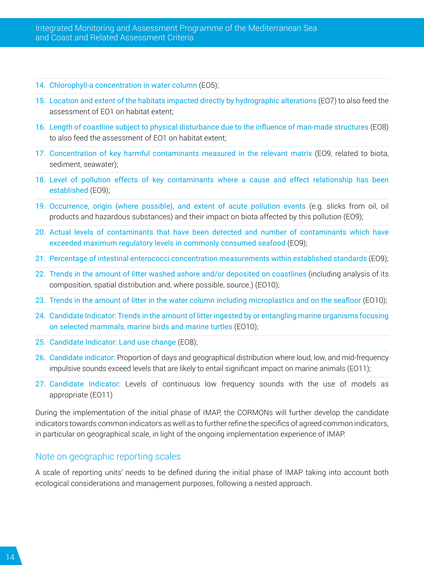- 14. Chlorophyll-a concentration in water column (EO5);
- 15. Location and extent of the habitats impacted directly by hydrographic alterations (EO7) to also feed the assessment of EO1 on habitat extent;
- 16. Length of coastline subject to physical disturbance due to the influence of man-made structures (EO8) to also feed the assessment of EO1 on habitat extent;
- 17. Concentration of key harmful contaminants measured in the relevant matrix (EO9, related to biota, sediment, seawater);
- 18. Level of pollution effects of key contaminants where a cause and effect relationship has been established (EO9);
- 19. Occurrence, origin (where possible), and extent of acute pollution events (e.g. slicks from oil, oil products and hazardous substances) and their impact on biota affected by this pollution (EO9);
- 20. Actual levels of contaminants that have been detected and number of contaminants which have exceeded maximum regulatory levels in commonly consumed seafood (EO9);
- 21. Percentage of intestinal enterococci concentration measurements within established standards (EO9);
- 22. Trends in the amount of litter washed ashore and/or deposited on coastlines (including analysis of its composition, spatial distribution and, where possible, source.) (EO10);
- 23. Trends in the amount of litter in the water column including microplastics and on the seafloor (EO10);
- 24. Candidate Indicator: Trends in the amount of litter ingested by or entangling marine organisms focusing on selected mammals, marine birds and marine turtles (EO10);
- 25. Candidate Indicator: Land use change (EO8);
- 26. Candidate indicator: Proportion of days and geographical distribution where loud, low, and mid-frequency impulsive sounds exceed levels that are likely to entail significant impact on marine animals (EO11);
- 27. Candidate Indicator: Levels of continuous low frequency sounds with the use of models as appropriate (EO11)

During the implementation of the initial phase of IMAP, the CORMONs will further develop the candidate indicators towards common indicators as well as to further refine the specifics of agreed common indicators, in particular on geographical scale, in light of the ongoing implementation experience of IMAP.

### Note on geographic reporting scales

A scale of reporting units' needs to be defined during the initial phase of IMAP taking into account both ecological considerations and management purposes, following a nested approach.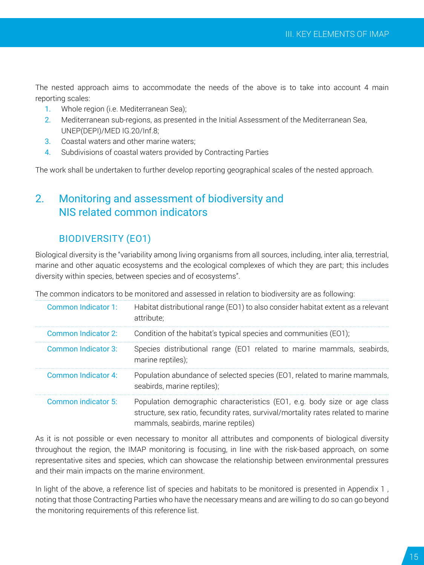<span id="page-14-0"></span>The nested approach aims to accommodate the needs of the above is to take into account 4 main reporting scales:

- 1. Whole region (i.e. Mediterranean Sea);
- 2. Mediterranean sub-regions, as presented in the Initial Assessment of the Mediterranean Sea, UNEP(DEPI)/MED IG.20/Inf.8;
- 3. Coastal waters and other marine waters;
- 4. Subdivisions of coastal waters provided by Contracting Parties

The work shall be undertaken to further develop reporting geographical scales of the nested approach.

# 2. Monitoring and assessment of biodiversity and NIS related common indicators

## BIODIVERSITY (EO1)

Biological diversity is the "variability among living organisms from all sources, including, inter alia, terrestrial, marine and other aquatic ecosystems and the ecological complexes of which they are part; this includes diversity within species, between species and of ecosystems".

The common indicators to be monitored and assessed in relation to biodiversity are as following:

| Common Indicator 1: | Habitat distributional range (EO1) to also consider habitat extent as a relevant<br>attribute:                                                                                                       |
|---------------------|------------------------------------------------------------------------------------------------------------------------------------------------------------------------------------------------------|
| Common Indicator 2: | Condition of the habitat's typical species and communities (EO1);                                                                                                                                    |
| Common Indicator 3: | Species distributional range (EO1 related to marine mammals, seabirds,<br>marine reptiles);                                                                                                          |
| Common Indicator 4: | Population abundance of selected species (EO1, related to marine mammals,<br>seabirds, marine reptiles);                                                                                             |
| Common indicator 5: | Population demographic characteristics (EO1, e.g. body size or age class<br>structure, sex ratio, fecundity rates, survival/mortality rates related to marine<br>mammals, seabirds, marine reptiles) |

As it is not possible or even necessary to monitor all attributes and components of biological diversity throughout the region, the IMAP monitoring is focusing, in line with the risk-based approach, on some representative sites and species, which can showcase the relationship between environmental pressures and their main impacts on the marine environment.

In light of the above, a reference list of species and habitats to be monitored is presented in Appendix 1 , noting that those Contracting Parties who have the necessary means and are willing to do so can go beyond the monitoring requirements of this reference list.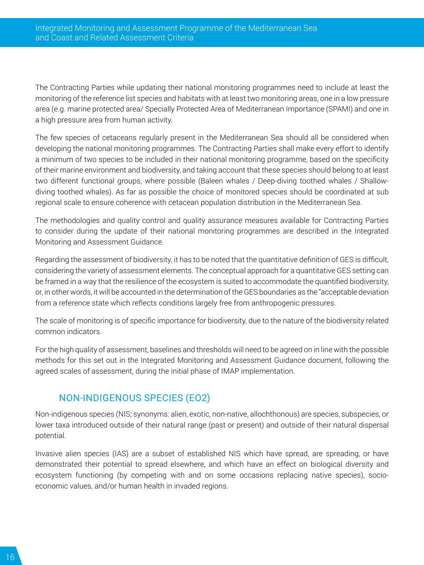The Contracting Parties while updating their national monitoring programmes need to include at least the monitoring of the reference list species and habitats with at least two monitoring areas, one in a low pressure area (e.g. marine protected area/ Specially Protected Area of Mediterranean Importance (SPAMI) and one in a high pressure area from human activity.

The few species of cetaceans regularly present in the Mediterranean Sea should all be considered when developing the national monitoring programmes. The Contracting Parties shall make every effort to identify a minimum of two species to be included in their national monitoring programme, based on the specificity of their marine environment and biodiversity, and taking account that these species should belong to at least two different functional groups, where possible (Baleen whales / Deep-diving toothed whales / Shallowdiving toothed whales). As far as possible the choice of monitored species should be coordinated at sub regional scale to ensure coherence with cetacean population distribution in the Mediterranean Sea.

The methodologies and quality control and quality assurance measures available for Contracting Parties to consider during the update of their national monitoring programmes are described in the Integrated Monitoring and Assessment Guidance.

Regarding the assessment of biodiversity, it has to be noted that the quantitative definition of GES is difficult, considering the variety of assessment elements. The conceptual approach for a quantitative GES setting can be framed in a way that the resilience of the ecosystem is suited to accommodate the quantified biodiversity, or, in other words, it will be accounted in the determination of the GES boundaries as the "acceptable deviation from a reference state which reflects conditions largely free from anthropogenic pressures.

The scale of monitoring is of specific importance for biodiversity, due to the nature of the biodiversity related common indicators.

For the high quality of assessment, baselines and thresholds will need to be agreed on in line with the possible methods for this set out in the Integrated Monitoring and Assessment Guidance document, following the agreed scales of assessment, during the initial phase of IMAP implementation.

## NON-INDIGENOUS SPECIES (EO2)

Non-indigenous species (NIS; synonyms: alien, exotic, non-native, allochthonous) are species, subspecies, or lower taxa introduced outside of their natural range (past or present) and outside of their natural dispersal potential.

Invasive alien species (IAS) are a subset of established NIS which have spread, are spreading, or have demonstrated their potential to spread elsewhere, and which have an effect on biological diversity and ecosystem functioning (by competing with and on some occasions replacing native species), socioeconomic values, and/or human health in invaded regions.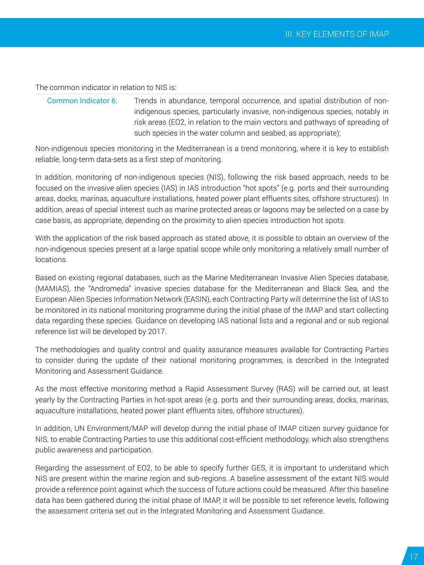The common indicator in relation to NIS is:

Common Indicator 6: Trends in abundance, temporal occurrence, and spatial distribution of nonindigenous species, particularly invasive, non-indigenous species, notably in risk areas (EO2, in relation to the main vectors and pathways of spreading of such species in the water column and seabed, as appropriate);

Non-indigenous species monitoring in the Mediterranean is a trend monitoring, where it is key to establish reliable, long-term data-sets as a first step of monitoring.

In addition, monitoring of non-indigenous species (NIS), following the risk based approach, needs to be focused on the invasive alien species (IAS) in IAS introduction "hot spots" (e.g. ports and their surrounding areas, docks, marinas, aquaculture installations, heated power plant effluents sites, offshore structures). In addition, areas of special interest such as marine protected areas or lagoons may be selected on a case by case basis, as appropriate, depending on the proximity to alien species introduction hot spots.

With the application of the risk based approach as stated above, it is possible to obtain an overview of the non-indigenous species present at a large spatial scope while only monitoring a relatively small number of locations.

Based on existing regional databases, such as the Marine Mediterranean Invasive Alien Species database, (MAMIAS), the "Andromeda" invasive species database for the Mediterranean and Black Sea, and the European Alien Species Information Network (EASIN), each Contracting Party will determine the list of IAS to be monitored in its national monitoring programme during the initial phase of the IMAP and start collecting data regarding these species. Guidance on developing IAS national lists and a regional and or sub regional reference list will be developed by 2017.

The methodologies and quality control and quality assurance measures available for Contracting Parties to consider during the update of their national monitoring programmes, is described in the Integrated Monitoring and Assessment Guidance.

As the most effective monitoring method a Rapid Assessment Survey (RAS) will be carried out, at least yearly by the Contracting Parties in hot-spot areas (e.g. ports and their surrounding areas, docks, marinas, aquaculture installations, heated power plant effluents sites, offshore structures).

In addition, UN Environment/MAP will develop during the initial phase of IMAP citizen survey guidance for NIS, to enable Contracting Parties to use this additional cost-efficient methodology, which also strengthens public awareness and participation.

Regarding the assessment of EO2, to be able to specify further GES, it is important to understand which NIS are present within the marine region and sub-regions. A baseline assessment of the extant NIS would provide a reference point against which the success of future actions could be measured. After this baseline data has been gathered during the initial phase of IMAP, it will be possible to set reference levels, following the assessment criteria set out in the Integrated Monitoring and Assessment Guidance.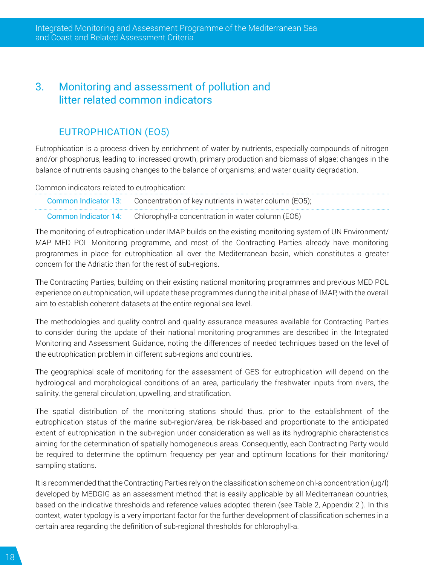# <span id="page-17-0"></span>3. Monitoring and assessment of pollution and litter related common indicators

## EUTROPHICATION (EO5)

Eutrophication is a process driven by enrichment of water by nutrients, especially compounds of nitrogen and/or phosphorus, leading to: increased growth, primary production and biomass of algae; changes in the balance of nutrients causing changes to the balance of organisms; and water quality degradation.

Common indicators related to eutrophication:

| Common Indicator 13: Concentration of key nutrients in water column (EO5); |
|----------------------------------------------------------------------------|
| Common Indicator 14: Chlorophyll-a concentration in water column (EO5)     |

The monitoring of eutrophication under IMAP builds on the existing monitoring system of UN Environment/ MAP MED POL Monitoring programme, and most of the Contracting Parties already have monitoring programmes in place for eutrophication all over the Mediterranean basin, which constitutes a greater concern for the Adriatic than for the rest of sub-regions.

The Contracting Parties, building on their existing national monitoring programmes and previous MED POL experience on eutrophication, will update these programmes during the initial phase of IMAP, with the overall aim to establish coherent datasets at the entire regional sea level.

The methodologies and quality control and quality assurance measures available for Contracting Parties to consider during the update of their national monitoring programmes are described in the Integrated Monitoring and Assessment Guidance, noting the differences of needed techniques based on the level of the eutrophication problem in different sub-regions and countries.

The geographical scale of monitoring for the assessment of GES for eutrophication will depend on the hydrological and morphological conditions of an area, particularly the freshwater inputs from rivers, the salinity, the general circulation, upwelling, and stratification.

The spatial distribution of the monitoring stations should thus, prior to the establishment of the eutrophication status of the marine sub-region/area, be risk-based and proportionate to the anticipated extent of eutrophication in the sub-region under consideration as well as its hydrographic characteristics aiming for the determination of spatially homogeneous areas. Consequently, each Contracting Party would be required to determine the optimum frequency per year and optimum locations for their monitoring/ sampling stations.

It is recommended that the Contracting Parties rely on the classification scheme on chl-a concentration (μg/l) developed by MEDGIG as an assessment method that is easily applicable by all Mediterranean countries, based on the indicative thresholds and reference values adopted therein (see Table 2, Appendix 2 ). In this context, water typology is a very important factor for the further development of classification schemes in a certain area regarding the definition of sub-regional thresholds for chlorophyll-a.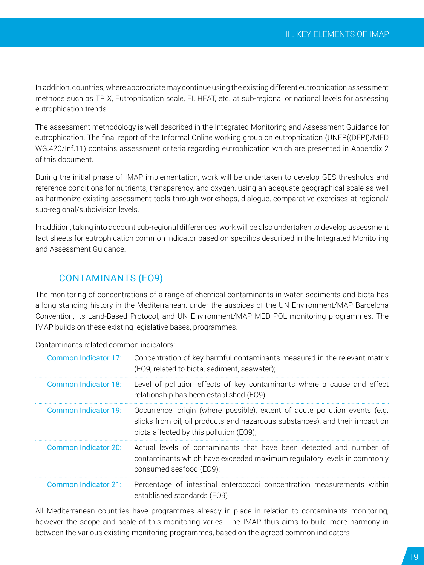In addition, countries, where appropriate may continue using the existing different eutrophication assessment methods such as TRIX, Eutrophication scale, EI, HEAT, etc. at sub-regional or national levels for assessing eutrophication trends.

The assessment methodology is well described in the Integrated Monitoring and Assessment Guidance for eutrophication. The final report of the Informal Online working group on eutrophication (UNEP((DEPI)/MED WG.420/Inf.11) contains assessment criteria regarding eutrophication which are presented in Appendix 2 of this document.

During the initial phase of IMAP implementation, work will be undertaken to develop GES thresholds and reference conditions for nutrients, transparency, and oxygen, using an adequate geographical scale as well as harmonize existing assessment tools through workshops, dialogue, comparative exercises at regional/ sub-regional/subdivision levels.

In addition, taking into account sub-regional differences, work will be also undertaken to develop assessment fact sheets for eutrophication common indicator based on specifics described in the Integrated Monitoring and Assessment Guidance.

### CONTAMINANTS (EO9)

The monitoring of concentrations of a range of chemical contaminants in water, sediments and biota has a long standing history in the Mediterranean, under the auspices of the UN Environment/MAP Barcelona Convention, its Land-Based Protocol, and UN Environment/MAP MED POL monitoring programmes. The IMAP builds on these existing legislative bases, programmes.

| Common Indicator 17:        | Concentration of key harmful contaminants measured in the relevant matrix<br>(EO9, related to biota, sediment, seawater);                                                                              |
|-----------------------------|--------------------------------------------------------------------------------------------------------------------------------------------------------------------------------------------------------|
| Common Indicator 18:        | Level of pollution effects of key contaminants where a cause and effect<br>relationship has been established (EO9);                                                                                    |
| Common Indicator 19:        | Occurrence, origin (where possible), extent of acute pollution events (e.g.<br>slicks from oil, oil products and hazardous substances), and their impact on<br>biota affected by this pollution (EO9); |
| Common Indicator 20:        | Actual levels of contaminants that have been detected and number of<br>contaminants which have exceeded maximum regulatory levels in commonly<br>consumed seafood (EO9);                               |
| <b>Common Indicator 21:</b> | Percentage of intestinal enterococci concentration measurements within<br>established standards (EO9)                                                                                                  |

Contaminants related common indicators:

All Mediterranean countries have programmes already in place in relation to contaminants monitoring, however the scope and scale of this monitoring varies. The IMAP thus aims to build more harmony in between the various existing monitoring programmes, based on the agreed common indicators.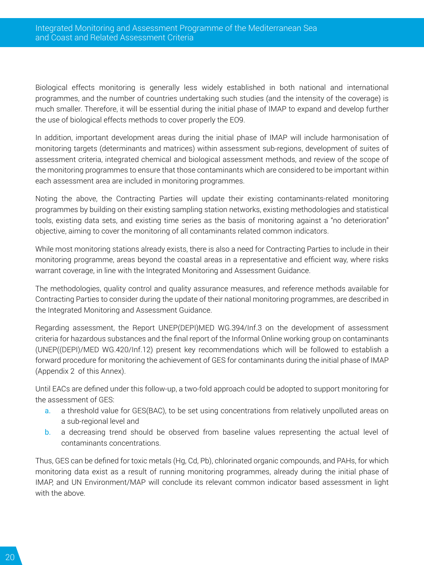Biological effects monitoring is generally less widely established in both national and international programmes, and the number of countries undertaking such studies (and the intensity of the coverage) is much smaller. Therefore, it will be essential during the initial phase of IMAP to expand and develop further the use of biological effects methods to cover properly the EO9.

In addition, important development areas during the initial phase of IMAP will include harmonisation of monitoring targets (determinants and matrices) within assessment sub-regions, development of suites of assessment criteria, integrated chemical and biological assessment methods, and review of the scope of the monitoring programmes to ensure that those contaminants which are considered to be important within each assessment area are included in monitoring programmes.

Noting the above, the Contracting Parties will update their existing contaminants-related monitoring programmes by building on their existing sampling station networks, existing methodologies and statistical tools, existing data sets, and existing time series as the basis of monitoring against a "no deterioration" objective, aiming to cover the monitoring of all contaminants related common indicators.

While most monitoring stations already exists, there is also a need for Contracting Parties to include in their monitoring programme, areas beyond the coastal areas in a representative and efficient way, where risks warrant coverage, in line with the Integrated Monitoring and Assessment Guidance.

The methodologies, quality control and quality assurance measures, and reference methods available for Contracting Parties to consider during the update of their national monitoring programmes, are described in the Integrated Monitoring and Assessment Guidance.

Regarding assessment, the Report UNEP(DEPI)MED WG.394/Inf.3 on the development of assessment criteria for hazardous substances and the final report of the Informal Online working group on contaminants (UNEP((DEPI)/MED WG.420/Inf.12) present key recommendations which will be followed to establish a forward procedure for monitoring the achievement of GES for contaminants during the initial phase of IMAP (Appendix 2 of this Annex).

Until EACs are defined under this follow-up, a two-fold approach could be adopted to support monitoring for the assessment of GES:

- a. a threshold value for GES(BAC), to be set using concentrations from relatively unpolluted areas on a sub-regional level and
- b. a decreasing trend should be observed from baseline values representing the actual level of contaminants concentrations.

Thus, GES can be defined for toxic metals (Hg, Cd, Pb), chlorinated organic compounds, and PAHs, for which monitoring data exist as a result of running monitoring programmes, already during the initial phase of IMAP, and UN Environment/MAP will conclude its relevant common indicator based assessment in light with the above.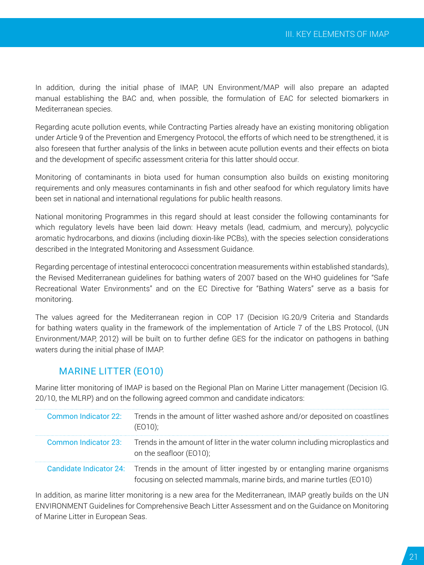In addition, during the initial phase of IMAP, UN Environment/MAP will also prepare an adapted manual establishing the BAC and, when possible, the formulation of EAC for selected biomarkers in Mediterranean species.

Regarding acute pollution events, while Contracting Parties already have an existing monitoring obligation under Article 9 of the Prevention and Emergency Protocol, the efforts of which need to be strengthened, it is also foreseen that further analysis of the links in between acute pollution events and their effects on biota and the development of specific assessment criteria for this latter should occur.

Monitoring of contaminants in biota used for human consumption also builds on existing monitoring requirements and only measures contaminants in fish and other seafood for which regulatory limits have been set in national and international regulations for public health reasons.

National monitoring Programmes in this regard should at least consider the following contaminants for which regulatory levels have been laid down: Heavy metals (lead, cadmium, and mercury), polycyclic aromatic hydrocarbons, and dioxins (including dioxin-like PCBs), with the species selection considerations described in the Integrated Monitoring and Assessment Guidance.

Regarding percentage of intestinal enterococci concentration measurements within established standards), the Revised Mediterranean guidelines for bathing waters of 2007 based on the WHO guidelines for "Safe Recreational Water Environments" and on the EC Directive for "Bathing Waters" serve as a basis for monitoring.

The values agreed for the Mediterranean region in COP 17 (Decision IG.20/9 Criteria and Standards for bathing waters quality in the framework of the implementation of Article 7 of the LBS Protocol, (UN Environment/MAP, 2012) will be built on to further define GES for the indicator on pathogens in bathing waters during the initial phase of IMAP.

### MARINE LITTER (EO10)

Marine litter monitoring of IMAP is based on the Regional Plan on Marine Litter management (Decision IG. 20/10, the MLRP) and on the following agreed common and candidate indicators:

| Common Indicator 22: Trends in the amount of litter washed ashore and/or deposited on coastlines<br>(EO10);                                                                |
|----------------------------------------------------------------------------------------------------------------------------------------------------------------------------|
| Common Indicator 23: Trends in the amount of litter in the water column including microplastics and<br>on the seafloor (EO10);                                             |
| Candidate Indicator 24: Trends in the amount of litter ingested by or entangling marine organisms<br>focusing on selected mammals, marine birds, and marine turtles (E010) |

In addition, as marine litter monitoring is a new area for the Mediterranean, IMAP greatly builds on the UN ENVIRONMENT Guidelines for Comprehensive Beach Litter Assessment and on the Guidance on Monitoring of Marine Litter in European Seas.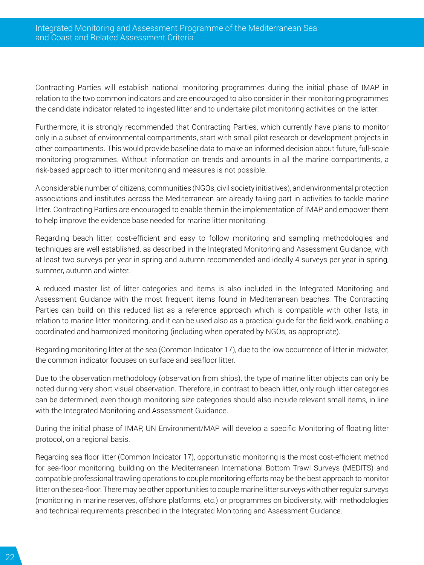Contracting Parties will establish national monitoring programmes during the initial phase of IMAP in relation to the two common indicators and are encouraged to also consider in their monitoring programmes the candidate indicator related to ingested litter and to undertake pilot monitoring activities on the latter.

Furthermore, it is strongly recommended that Contracting Parties, which currently have plans to monitor only in a subset of environmental compartments, start with small pilot research or development projects in other compartments. This would provide baseline data to make an informed decision about future, full-scale monitoring programmes. Without information on trends and amounts in all the marine compartments, a risk-based approach to litter monitoring and measures is not possible.

A considerable number of citizens, communities (NGOs, civil society initiatives), and environmental protection associations and institutes across the Mediterranean are already taking part in activities to tackle marine litter. Contracting Parties are encouraged to enable them in the implementation of IMAP and empower them to help improve the evidence base needed for marine litter monitoring.

Regarding beach litter, cost-efficient and easy to follow monitoring and sampling methodologies and techniques are well established, as described in the Integrated Monitoring and Assessment Guidance, with at least two surveys per year in spring and autumn recommended and ideally 4 surveys per year in spring, summer, autumn and winter.

A reduced master list of litter categories and items is also included in the Integrated Monitoring and Assessment Guidance with the most frequent items found in Mediterranean beaches. The Contracting Parties can build on this reduced list as a reference approach which is compatible with other lists, in relation to marine litter monitoring, and it can be used also as a practical guide for the field work, enabling a coordinated and harmonized monitoring (including when operated by NGOs, as appropriate).

Regarding monitoring litter at the sea (Common Indicator 17), due to the low occurrence of litter in midwater, the common indicator focuses on surface and seafloor litter.

Due to the observation methodology (observation from ships), the type of marine litter objects can only be noted during very short visual observation. Therefore, in contrast to beach litter, only rough litter categories can be determined, even though monitoring size categories should also include relevant small items, in line with the Integrated Monitoring and Assessment Guidance.

During the initial phase of IMAP, UN Environment/MAP will develop a specific Monitoring of floating litter protocol, on a regional basis.

Regarding sea floor litter (Common Indicator 17), opportunistic monitoring is the most cost-efficient method for sea-floor monitoring, building on the Mediterranean International Bottom Trawl Surveys (MEDITS) and compatible professional trawling operations to couple monitoring efforts may be the best approach to monitor litter on the sea-floor. There may be other opportunities to couple marine litter surveys with other regular surveys (monitoring in marine reserves, offshore platforms, etc.) or programmes on biodiversity, with methodologies and technical requirements prescribed in the Integrated Monitoring and Assessment Guidance.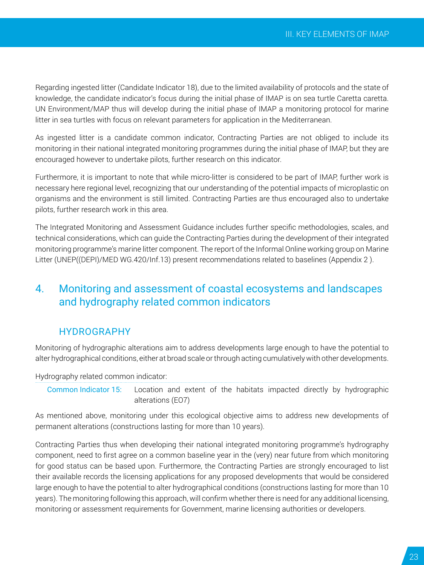<span id="page-22-0"></span>Regarding ingested litter (Candidate Indicator 18), due to the limited availability of protocols and the state of knowledge, the candidate indicator's focus during the initial phase of IMAP is on sea turtle Caretta caretta. UN Environment/MAP thus will develop during the initial phase of IMAP a monitoring protocol for marine litter in sea turtles with focus on relevant parameters for application in the Mediterranean.

As ingested litter is a candidate common indicator, Contracting Parties are not obliged to include its monitoring in their national integrated monitoring programmes during the initial phase of IMAP, but they are encouraged however to undertake pilots, further research on this indicator.

Furthermore, it is important to note that while micro-litter is considered to be part of IMAP, further work is necessary here regional level, recognizing that our understanding of the potential impacts of microplastic on organisms and the environment is still limited. Contracting Parties are thus encouraged also to undertake pilots, further research work in this area.

The Integrated Monitoring and Assessment Guidance includes further specific methodologies, scales, and technical considerations, which can guide the Contracting Parties during the development of their integrated monitoring programme's marine litter component. The report of the Informal Online working group on Marine Litter (UNEP((DEPI)/MED WG.420/Inf.13) present recommendations related to baselines (Appendix 2 ).

# 4. Monitoring and assessment of coastal ecosystems and landscapes and hydrography related common indicators

### HYDROGRAPHY

Monitoring of hydrographic alterations aim to address developments large enough to have the potential to alter hydrographical conditions, either at broad scale or through acting cumulatively with other developments.

Hydrography related common indicator:

Common Indicator 15: Location and extent of the habitats impacted directly by hydrographic alterations (EO7)

As mentioned above, monitoring under this ecological objective aims to address new developments of permanent alterations (constructions lasting for more than 10 years).

Contracting Parties thus when developing their national integrated monitoring programme's hydrography component, need to first agree on a common baseline year in the (very) near future from which monitoring for good status can be based upon. Furthermore, the Contracting Parties are strongly encouraged to list their available records the licensing applications for any proposed developments that would be considered large enough to have the potential to alter hydrographical conditions (constructions lasting for more than 10 years). The monitoring following this approach, will confirm whether there is need for any additional licensing, monitoring or assessment requirements for Government, marine licensing authorities or developers.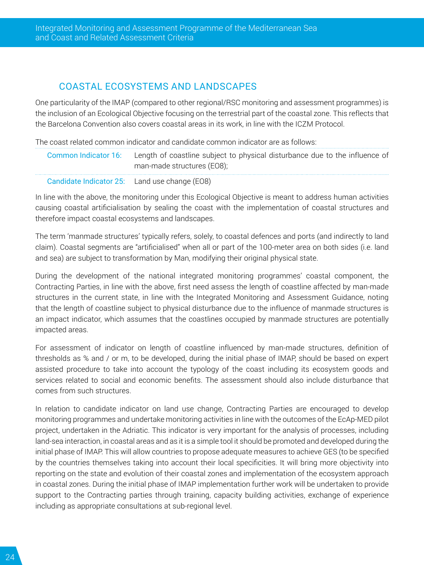## COASTAL ECOSYSTEMS AND LANDSCAPES

One particularity of the IMAP (compared to other regional/RSC monitoring and assessment programmes) is the inclusion of an Ecological Objective focusing on the terrestrial part of the coastal zone. This reflects that the Barcelona Convention also covers coastal areas in its work, in line with the ICZM Protocol.

The coast related common indicator and candidate common indicator are as follows:

| Common Indicator 16: | Length of coastline subject to physical disturbance due to the influence of |
|----------------------|-----------------------------------------------------------------------------|
|                      | man-made structures (EO8);                                                  |

Candidate Indicator 25: Land use change (EO8)

In line with the above, the monitoring under this Ecological Objective is meant to address human activities causing coastal artificialisation by sealing the coast with the implementation of coastal structures and therefore impact coastal ecosystems and landscapes.

The term 'manmade structures' typically refers, solely, to coastal defences and ports (and indirectly to land claim). Coastal segments are "artificialised" when all or part of the 100-meter area on both sides (i.e. land and sea) are subject to transformation by Man, modifying their original physical state.

During the development of the national integrated monitoring programmes' coastal component, the Contracting Parties, in line with the above, first need assess the length of coastline affected by man-made structures in the current state, in line with the Integrated Monitoring and Assessment Guidance, noting that the length of coastline subject to physical disturbance due to the influence of manmade structures is an impact indicator, which assumes that the coastlines occupied by manmade structures are potentially impacted areas.

For assessment of indicator on length of coastline influenced by man-made structures, definition of thresholds as % and / or m, to be developed, during the initial phase of IMAP, should be based on expert assisted procedure to take into account the typology of the coast including its ecosystem goods and services related to social and economic benefits. The assessment should also include disturbance that comes from such structures.

In relation to candidate indicator on land use change, Contracting Parties are encouraged to develop monitoring programmes and undertake monitoring activities in line with the outcomes of the EcAp-MED pilot project, undertaken in the Adriatic. This indicator is very important for the analysis of processes, including land-sea interaction, in coastal areas and as it is a simple tool it should be promoted and developed during the initial phase of IMAP. This will allow countries to propose adequate measures to achieve GES (to be specified by the countries themselves taking into account their local specificities. It will bring more objectivity into reporting on the state and evolution of their coastal zones and implementation of the ecosystem approach in coastal zones. During the initial phase of IMAP implementation further work will be undertaken to provide support to the Contracting parties through training, capacity building activities, exchange of experience including as appropriate consultations at sub-regional level.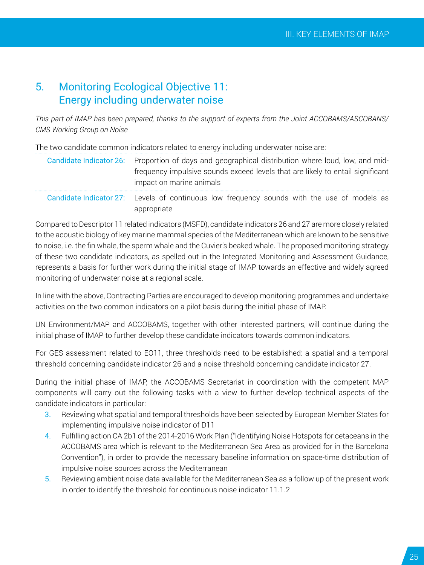# <span id="page-24-0"></span>5. Monitoring Ecological Objective 11: Energy including underwater noise

*This part of IMAP has been prepared, thanks to the support of experts from the Joint ACCOBAMS/ASCOBANS/ CMS Working Group on Noise*

The two candidate common indicators related to energy including underwater noise are:

| Candidate Indicator 26: Proportion of days and geographical distribution where loud, low, and mid-<br>frequency impulsive sounds exceed levels that are likely to entail significant<br>impact on marine animals |  |
|------------------------------------------------------------------------------------------------------------------------------------------------------------------------------------------------------------------|--|
| Candidate Indicator 27: Levels of continuous low frequency sounds with the use of models as<br>appropriate                                                                                                       |  |

Compared to Descriptor 11 related indicators (MSFD), candidate indicators 26 and 27 are more closely related to the acoustic biology of key marine mammal species of the Mediterranean which are known to be sensitive to noise, i.e. the fin whale, the sperm whale and the Cuvier's beaked whale. The proposed monitoring strategy of these two candidate indicators, as spelled out in the Integrated Monitoring and Assessment Guidance, represents a basis for further work during the initial stage of IMAP towards an effective and widely agreed monitoring of underwater noise at a regional scale.

In line with the above, Contracting Parties are encouraged to develop monitoring programmes and undertake activities on the two common indicators on a pilot basis during the initial phase of IMAP.

UN Environment/MAP and ACCOBAMS, together with other interested partners, will continue during the initial phase of IMAP to further develop these candidate indicators towards common indicators.

For GES assessment related to EO11, three thresholds need to be established: a spatial and a temporal threshold concerning candidate indicator 26 and a noise threshold concerning candidate indicator 27.

During the initial phase of IMAP, the ACCOBAMS Secretariat in coordination with the competent MAP components will carry out the following tasks with a view to further develop technical aspects of the candidate indicators in particular:

- 3. Reviewing what spatial and temporal thresholds have been selected by European Member States for implementing impulsive noise indicator of D11
- 4. Fulfilling action CA 2b1 of the 2014-2016 Work Plan ("Identifying Noise Hotspots for cetaceans in the ACCOBAMS area which is relevant to the Mediterranean Sea Area as provided for in the Barcelona Convention"), in order to provide the necessary baseline information on space-time distribution of impulsive noise sources across the Mediterranean
- 5. Reviewing ambient noise data available for the Mediterranean Sea as a follow up of the present work in order to identify the threshold for continuous noise indicator 11.1.2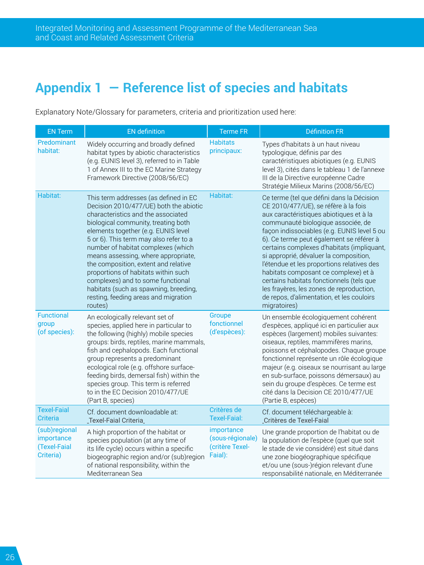# <span id="page-25-0"></span>**Appendix 1 ― Reference list of species and habitats**

EN Term EN definition Terme FR Définition FR Predominant Predominant Midely occurring and broadly defined<br>habitat: habitat types by abiotic characteristics (e.g. EUNIS level 3), referred to in Table 1 of Annex III to the EC Marine Strategy Framework Directive (2008/56/EC) **Habitats** principaux: Types d'habitats à un haut niveau typologique, définis par des caractéristiques abiotiques (e.g. EUNIS level 3), cités dans le tableau 1 de l'annexe III de la Directive européenne Cadre Stratégie Milieux Marins (2008/56/EC) Habitat: This term addresses (as defined in EC Decision 2010/477/UE) both the abiotic characteristics and the associated biological community, treating both elements together (e.g. EUNIS level 5 or 6). This term may also refer to a number of habitat complexes (which means assessing, where appropriate, the composition, extent and relative proportions of habitats within such complexes) and to some functional habitats (such as spawning, breeding, resting, feeding areas and migration routes) Habitat: Ce terme (tel que défini dans la Décision CE 2010/477/UE), se réfère à la fois aux caractéristiques abiotiques et à la communauté biologique associée, de façon indissociables (e.g. EUNIS level 5 ou 6). Ce terme peut également se référer à certains complexes d'habitats (impliquant, si approprié, dévaluer la composition, l'étendue et les proportions relatives des habitats composant ce complexe) et à certains habitats fonctionnels (tels que les frayères, les zones de reproduction, de repos, d'alimentation, et les couloirs migratoires) **Functional** group (of species): An ecologically relevant set of species, applied here in particular to the following (highly) mobile species groups: birds, reptiles, marine mammals, fish and cephalopods. Each functional group represents a predominant ecological role (e.g. offshore surfacefeeding birds, demersal fish) within the species group. This term is referred to in the EC Decision 2010/477/UE (Part B, species) Groupe fonctionnel (d'espèces): Un ensemble écologiquement cohérent d'espèces, appliqué ici en particulier aux espèces (largement) mobiles suivantes: oiseaux, reptiles, mammifères marins, poissons et céphalopodes. Chaque groupe fonctionnel représente un rôle écologique majeur (e.g. oiseaux se nourrisant au large en sub-surface, poissons démersaux) au sein du groupe d'espèces. Ce terme est cité dans la Decision CE 2010/477/UE (Partie B, espèces) Texel-Faial **Criteria** Cf. document downloadable at: [Texel-Faial Criteria](http://www.google.fr/url?sa=t&rct=j&q=&esrc=s&source=web&cd=1&cad=rja&uact=8&ved=0CCYQFjAA&url=http%3A%2F%2Fwww.ospar.org%2Fdocuments%2Fdbase%2Fdecrecs%2Fagreements%2F03-13e_texel_faial%2520criteria.doc&ei=r1MQVPP7GYvuaPm7gBA&usg=AFQjCNFFBqKlpeixMYiLZD1JqGJC_rAwTw&sig2=wG6kTCw1ZQvZJwazTNX7iw&bvm=bv.74649129,d.d2s) Critères de Critères de Cf. document téléchargeable à:<br>Texel-Faial: Critères de Texel-Faial [Critères de Texel-Faial](http://www.google.fr/url?sa=t&rct=j&q=&esrc=s&source=web&cd=1&cad=rja&uact=8&ved=0CCIQFjAAahUKEwjzto-7punGAhWIPxQKHYo0B1k&url=http%3A%2F%2Fwww.ospar.org%2Fdocuments%2Fdbase%2Fdecrecs%2Fagreements%2F03-13f_criterestexel-faial.doc&ei=i7KsVbPFKYj_UIrpnMgF&usg=AFQjCNEVmuntg7oEq-C4n4tbGPpuM3B_0w&sig2=eVctr-Vg5--1LEVuFv97-A&bvm=bv.98197061,d.d24) (sub)regional importance (Texel-Faial Criteria) A high proportion of the habitat or species population (at any time of its life cycle) occurs within a specific biogeographic region and/or (sub)region of national responsibility, within the Mediterranean Sea importance (sous-régionale) (critère Texel-Faial): Une grande proportion de l'habitat ou de la population de l'espèce (quel que soit le stade de vie considéré) est situé dans une zone biogéographique spécifique et/ou une (sous-)région relevant d'une responsabilité nationale, en Méditerranée

Explanatory Note/Glossary for parameters, criteria and prioritization used here: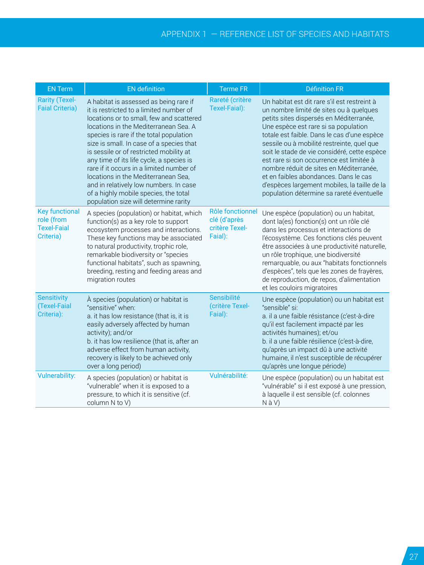| <b>EN Term</b>                                                         | <b>EN</b> definition                                                                                                                                                                                                                                                                                                                                                                                                                                                                                                                                                | <b>Terme FR</b>                                               | <b>Définition FR</b>                                                                                                                                                                                                                                                                                                                                                                                                                                                                                                                                 |  |
|------------------------------------------------------------------------|---------------------------------------------------------------------------------------------------------------------------------------------------------------------------------------------------------------------------------------------------------------------------------------------------------------------------------------------------------------------------------------------------------------------------------------------------------------------------------------------------------------------------------------------------------------------|---------------------------------------------------------------|------------------------------------------------------------------------------------------------------------------------------------------------------------------------------------------------------------------------------------------------------------------------------------------------------------------------------------------------------------------------------------------------------------------------------------------------------------------------------------------------------------------------------------------------------|--|
| <b>Rarity (Texel-</b><br><b>Faial Criteria)</b>                        | A habitat is assessed as being rare if<br>it is restricted to a limited number of<br>locations or to small, few and scattered<br>locations in the Mediterranean Sea. A<br>species is rare if the total population<br>size is small. In case of a species that<br>is sessile or of restricted mobility at<br>any time of its life cycle, a species is<br>rare if it occurs in a limited number of<br>locations in the Mediterranean Sea,<br>and in relatively low numbers. In case<br>of a highly mobile species, the total<br>population size will determine rarity | Rareté (critère<br>Texel-Faial):                              | Un habitat est dit rare s'il est restreint à<br>un nombre limité de sites ou à quelques<br>petits sites dispersés en Méditerranée,<br>Une espèce est rare si sa population<br>totale est faible. Dans le cas d'une espèce<br>sessile ou à mobilité restreinte, quel que<br>soit le stade de vie considéré, cette espèce<br>est rare si son occurrence est limitée à<br>nombre réduit de sites en Méditerranée,<br>et en faibles abondances. Dans le cas<br>d'espèces largement mobiles, la taille de la<br>population détermine sa rareté éventuelle |  |
| <b>Key functional</b><br>role (from<br><b>Texel-Faial</b><br>Criteria) | A species (population) or habitat, which<br>function(s) as a key role to support<br>ecosystem processes and interactions.<br>These key functions may be associated<br>to natural productivity, trophic role,<br>remarkable biodiversity or "species<br>functional habitats", such as spawning,<br>breeding, resting and feeding areas and<br>migration routes                                                                                                                                                                                                       | Rôle fonctionnel<br>clé (d'après<br>critère Texel-<br>Faial): | Une espèce (population) ou un habitat,<br>dont la(es) fonction(s) ont un rôle clé<br>dans les processus et interactions de<br>l'écosystème. Ces fonctions clés peuvent<br>être associées à une productivité naturelle,<br>un rôle trophique, une biodiversité<br>remarquable, ou aux "habitats fonctionnels<br>d'espèces", tels que les zones de frayères,<br>de reproduction, de repos, d'alimentation<br>et les couloirs migratoires                                                                                                               |  |
| <b>Sensitivity</b><br>(Texel-Faial<br>Criteria):                       | À species (population) or habitat is<br>"sensitive" when:<br>a. it has low resistance (that is, it is<br>easily adversely affected by human<br>activity); and/or<br>b. it has low resilience (that is, after an<br>adverse effect from human activity,<br>recovery is likely to be achieved only<br>over a long period)                                                                                                                                                                                                                                             | Sensibilité<br>(critère Texel-<br>Faial):                     | Une espèce (population) ou un habitat est<br>"sensible" si:<br>a. il a une faible résistance (c'est-à-dire<br>qu'il est facilement impacté par les<br>activités humaines); et/ou<br>b. il a une faible résilience (c'est-à-dire,<br>qu'après un impact dû à une activité<br>humaine, il n'est susceptible de récupérer<br>qu'après une longue période)                                                                                                                                                                                               |  |
| <b>Vulnerability:</b>                                                  | A species (population) or habitat is<br>"vulnerable" when it is exposed to a<br>pressure, to which it is sensitive (cf.<br>column N to V)                                                                                                                                                                                                                                                                                                                                                                                                                           | Vulnérabilité:                                                | Une espèce (population) ou un habitat est<br>"vulnérable" si il est exposé à une pression,<br>à laquelle il est sensible (cf. colonnes<br>$N$ à $V$ )                                                                                                                                                                                                                                                                                                                                                                                                |  |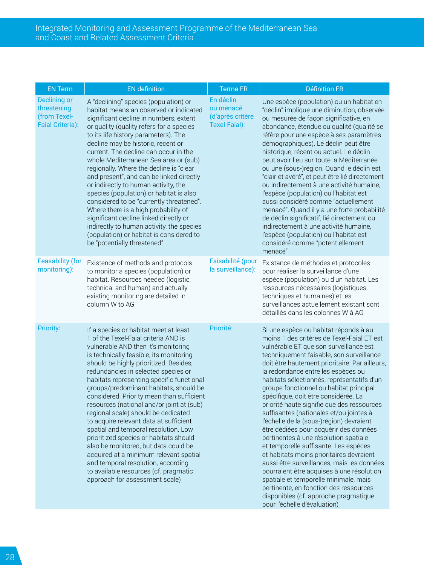| <b>EN Term</b>                                                                | <b>EN</b> definition                                                                                                                                                                                                                                                                                                                                                                                                                                                                                                                                                                                                                                                                                                                                                                                    | <b>Terme FR</b>                        | <b>Définition FR</b>                                                                                                                                                                                                                                                                                                                                                                                                                                                                                                                                                                                                                                                                                                                                                                                                                                                                                                                                                   |
|-------------------------------------------------------------------------------|---------------------------------------------------------------------------------------------------------------------------------------------------------------------------------------------------------------------------------------------------------------------------------------------------------------------------------------------------------------------------------------------------------------------------------------------------------------------------------------------------------------------------------------------------------------------------------------------------------------------------------------------------------------------------------------------------------------------------------------------------------------------------------------------------------|----------------------------------------|------------------------------------------------------------------------------------------------------------------------------------------------------------------------------------------------------------------------------------------------------------------------------------------------------------------------------------------------------------------------------------------------------------------------------------------------------------------------------------------------------------------------------------------------------------------------------------------------------------------------------------------------------------------------------------------------------------------------------------------------------------------------------------------------------------------------------------------------------------------------------------------------------------------------------------------------------------------------|
| <b>Declining or</b><br>threatening<br>(from Texel-<br><b>Faial Criteria):</b> | A "declining" species (population) or<br>habitat means an observed or indicated<br>significant decline in numbers, extent<br>or quality (quality refers for a species<br>to its life history parameters). The<br>decline may be historic, recent or<br>current. The decline can occur in the<br>whole Mediterranean Sea area or (sub)<br>regionally. Where the decline is "clear<br>and present", and can be linked directly<br>or indirectly to human activity, the<br>species (population) or habitat is also<br>considered to be "currently threatened".<br>Where there is a high probability of<br>significant decline linked directly or<br>indirectly to human activity, the species<br>(population) or habitat is considered to<br>be "potentially threatened"                                   |                                        | Une espèce (population) ou un habitat en<br>"déclin" implique une diminution, observée<br>ou mesurée de façon significative, en<br>abondance, étendue ou qualité (qualité se<br>réfère pour une espèce à ses paramètres<br>démographiques). Le déclin peut être<br>historique, récent ou actuel. Le déclin<br>peut avoir lieu sur toute la Méditerranée<br>ou une (sous-)région. Quand le déclin est<br>"clair et avéré", et peut être lié directement<br>ou indirectement à une activité humaine,<br>l'espèce (population) ou l'habitat est<br>aussi considéré comme "actuellement<br>menacé". Quand il y a une forte probabilité<br>de déclin significatif, lié directement ou<br>indirectement à une activité humaine,<br>l'espèce (population) ou l'habitat est<br>considéré comme "potentiellement<br>menacé"                                                                                                                                                     |
| <b>Feasability (for</b><br>monitoring):                                       | Existence of methods and protocols<br>to monitor a species (population) or<br>habitat. Resources needed (logistic,<br>technical and human) and actually<br>existing monitoring are detailed in<br>column W to AG                                                                                                                                                                                                                                                                                                                                                                                                                                                                                                                                                                                        | Faisabilité (pour<br>la surveillance): | Existance de méthodes et protocoles<br>pour réaliser la surveillance d'une<br>espèce (population) ou d'un habitat. Les<br>ressources nécessaires (logistiques,<br>techniques et humaines) et les<br>surveillances actuellement existant sont<br>détaillés dans les colonnes W à AG                                                                                                                                                                                                                                                                                                                                                                                                                                                                                                                                                                                                                                                                                     |
| <b>Priority:</b>                                                              | If a species or habitat meet at least<br>1 of the Texel-Faial criteria AND is<br>vulnerable AND then it's monitoring<br>is technically feasible, its monitoring<br>should be highly prioritized. Besides,<br>redundancies in selected species or<br>habitats representing specific functional<br>groups/predominant habitats, should be<br>considered. Priority mean than sufficient<br>resources (national and/or joint at (sub)<br>regional scale) should be dedicated<br>to acquire relevant data at sufficient<br>spatial and temporal resolution. Low<br>prioritized species or habitats should<br>also be monitored, but data could be<br>acquired at a minimum relevant spatial<br>and temporal resolution, according<br>to available resources (cf. pragmatic<br>approach for assessment scale) | Priorité:                              | Si une espèce ou habitat réponds à au<br>moins 1 des critères de Texel-Faial ET est<br>vulnérable ET que son surveillance est<br>techniquement faisable, son surveillance<br>doit être hautement prioritaire. Par ailleurs,<br>la redondance entre les espèces ou<br>habitats sélectionnés, représentatifs d'un<br>groupe fonctionnel ou habitat principal<br>spécifique, doit être considérée. La<br>priorité haute signifie que des ressources<br>suffisantes (nationales et/ou jointes à<br>l'échelle de la (sous-)région) devraient<br>être dédiées pour acquérir des données<br>pertinentes à une résolution spatiale<br>et temporelle suffisante. Les espèces<br>et habitats moins prioritaires devraient<br>aussi être surveillances, mais les données<br>pourraient être acquises à une résolution<br>spatiale et temporelle minimale, mais<br>pertinente, en fonction des ressources<br>disponibles (cf. approche pragmatique<br>pour l'échelle d'évaluation) |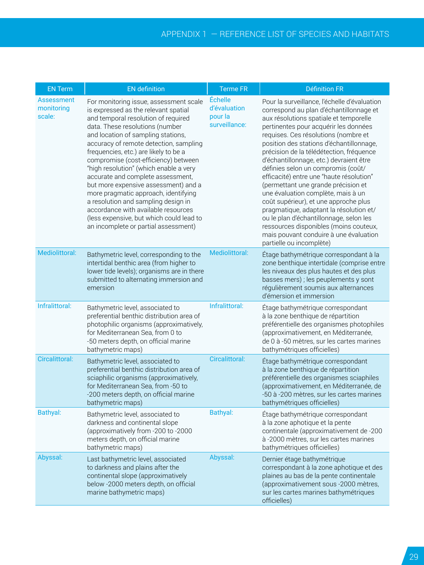| <b>EN Term</b>                            | <b>EN</b> definition                                                                                                                                                                                                                                                                                                                                                                                                                                                                                                                                                                                                                                       | <b>Terme FR</b>                                     | <b>Définition FR</b>                                                                                                                                                                                                                                                                                                                                                                                                                                                                                                                                                                                                                                                                                                                                                |
|-------------------------------------------|------------------------------------------------------------------------------------------------------------------------------------------------------------------------------------------------------------------------------------------------------------------------------------------------------------------------------------------------------------------------------------------------------------------------------------------------------------------------------------------------------------------------------------------------------------------------------------------------------------------------------------------------------------|-----------------------------------------------------|---------------------------------------------------------------------------------------------------------------------------------------------------------------------------------------------------------------------------------------------------------------------------------------------------------------------------------------------------------------------------------------------------------------------------------------------------------------------------------------------------------------------------------------------------------------------------------------------------------------------------------------------------------------------------------------------------------------------------------------------------------------------|
| <b>Assessment</b><br>monitoring<br>scale: | For monitoring issue, assessment scale<br>is expressed as the relevant spatial<br>and temporal resolution of required<br>data. These resolutions (number<br>and location of sampling stations,<br>accuracy of remote detection, sampling<br>frequencies, etc.) are likely to be a<br>compromise (cost-efficiency) between<br>"high resolution" (which enable a very<br>accurate and complete assessment,<br>but more expensive assessment) and a<br>more pragmatic approach, identifying<br>a resolution and sampling design in<br>accordance with available resources<br>(less expensive, but which could lead to<br>an incomplete or partial assessment) | Échelle<br>d'évaluation<br>pour la<br>surveillance: | Pour la surveillance, l'échelle d'évaluation<br>correspond au plan d'échantillonnage et<br>aux résolutions spatiale et temporelle<br>pertinentes pour acquérir les données<br>requises. Ces résolutions (nombre et<br>position des stations d'échantillonnage,<br>précision de la télédétection, fréquence<br>d'échantillonnage, etc.) devraient être<br>définies selon un compromis (coût/<br>efficacité) entre une "haute résolution"<br>(permettant une grande précision et<br>une évaluation complète, mais à un<br>coût supérieur), et une approche plus<br>pragmatique, adaptant la résolution et/<br>ou le plan d'échantillonnage, selon les<br>ressources disponibles (moins couteux,<br>mais pouvant conduire à une évaluation<br>partielle ou incomplète) |
| <b>Mediolittoral:</b>                     | Bathymetric level, corresponding to the<br>intertidal benthic area (from higher to<br>lower tide levels); organisms are in there<br>submitted to alternating immersion and<br>emersion                                                                                                                                                                                                                                                                                                                                                                                                                                                                     | <b>Mediolittoral:</b>                               | Étage bathymétrique correspondant à la<br>zone benthique intertidale (comprise entre<br>les niveaux des plus hautes et des plus<br>basses mers) ; les peuplements y sont<br>régulièrement soumis aux alternances<br>d'émersion et immersion                                                                                                                                                                                                                                                                                                                                                                                                                                                                                                                         |
| Infralittoral:                            | Bathymetric level, associated to<br>preferential benthic distribution area of<br>photophilic organisms (approximatively,<br>for Mediterranean Sea, from 0 to<br>-50 meters depth, on official marine<br>bathymetric maps)                                                                                                                                                                                                                                                                                                                                                                                                                                  | Infralittoral:                                      | Étage bathymétrique correspondant<br>à la zone benthique de répartition<br>préférentielle des organismes photophiles<br>(approximativement, en Méditerranée,<br>de 0 à -50 mètres, sur les cartes marines<br>bathymétriques officielles)                                                                                                                                                                                                                                                                                                                                                                                                                                                                                                                            |
| <b>Circalittoral:</b>                     | Bathymetric level, associated to<br>preferential benthic distribution area of<br>sciaphilic organisms (approximatively,<br>for Mediterranean Sea, from -50 to<br>-200 meters depth, on official marine<br>bathymetric maps)                                                                                                                                                                                                                                                                                                                                                                                                                                | <b>Circalittoral:</b>                               | Étage bathymétrique correspondant<br>à la zone benthique de répartition<br>préférentielle des organismes sciaphiles<br>(approximativement, en Méditerranée, de<br>-50 à -200 mètres, sur les cartes marines<br>bathymétriques officielles)                                                                                                                                                                                                                                                                                                                                                                                                                                                                                                                          |
| <b>Bathyal:</b>                           | Bathymetric level, associated to<br>darkness and continental slope<br>(approximatively from -200 to -2000<br>meters depth, on official marine<br>bathymetric maps)                                                                                                                                                                                                                                                                                                                                                                                                                                                                                         | <b>Bathyal:</b>                                     | Étage bathymétrique correspondant<br>à la zone aphotique et la pente<br>continentale (approximativement de -200<br>à -2000 mètres, sur les cartes marines<br>bathymétriques officielles)                                                                                                                                                                                                                                                                                                                                                                                                                                                                                                                                                                            |
| Abyssal:                                  | Last bathymetric level, associated<br>to darkness and plains after the<br>continental slope (approximatively<br>below -2000 meters depth, on official<br>marine bathymetric maps)                                                                                                                                                                                                                                                                                                                                                                                                                                                                          | Abyssal:                                            | Dernier étage bathymétrique<br>correspondant à la zone aphotique et des<br>plaines au bas de la pente continentale<br>(approximativement sous -2000 mètres,<br>sur les cartes marines bathymétriques<br>officielles)                                                                                                                                                                                                                                                                                                                                                                                                                                                                                                                                                |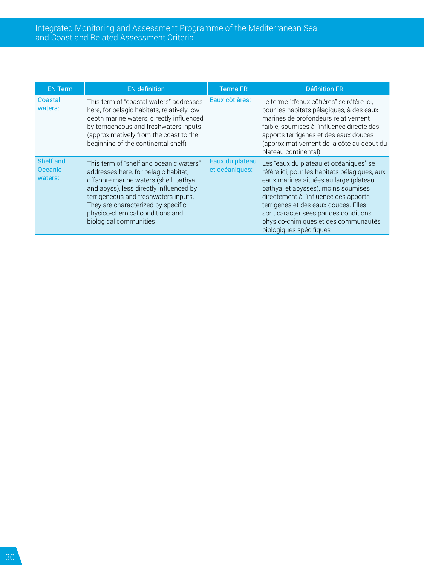| <b>EN Term</b>                         | <b>EN</b> definition                                                                                                                                                                                                                                                                                            | <b>Terme FR</b> | <b>Définition FR</b>                                                                                                                                                                                                                                                                                                                                                   |
|----------------------------------------|-----------------------------------------------------------------------------------------------------------------------------------------------------------------------------------------------------------------------------------------------------------------------------------------------------------------|-----------------|------------------------------------------------------------------------------------------------------------------------------------------------------------------------------------------------------------------------------------------------------------------------------------------------------------------------------------------------------------------------|
| Coastal<br>waters:                     | This term of "coastal waters" addresses<br>here, for pelagic habitats, relatively low<br>depth marine waters, directly influenced<br>by terrigeneous and freshwaters inputs<br>(approximatively from the coast to the<br>beginning of the continental shelf)                                                    | Eaux côtières:  | Le terme "d'eaux côtières" se réfère ici.<br>pour les habitats pélagiques, à des eaux<br>marines de profondeurs relativement<br>faible, soumises à l'influence directe des<br>apports terrigènes et des eaux douces<br>(approximativement de la côte au début du<br>plateau continental)                                                                               |
| Shelf and<br><b>Oceanic</b><br>waters: | This term of "shelf and oceanic waters"<br>addresses here, for pelagic habitat,<br>offshore marine waters (shell, bathyal<br>and abyss), less directly influenced by<br>terrigeneous and freshwaters inputs.<br>They are characterized by specific<br>physico-chemical conditions and<br>biological communities |                 | Les "eaux du plateau et océaniques" se<br>réfère ici, pour les habitats pélagiques, aux<br>eaux marines situées au large (plateau,<br>bathyal et abysses), moins soumises<br>directement à l'influence des apports<br>terrigènes et des eaux douces. Elles<br>sont caractérisées par des conditions<br>physico-chimiques et des communautés<br>biologiques spécifiques |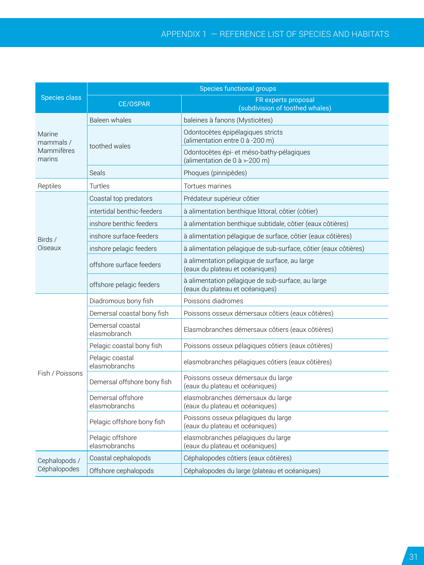### Appendix 1 ― Reference list of species and habitats

|                      | Species functional groups          |                                                                                      |  |  |
|----------------------|------------------------------------|--------------------------------------------------------------------------------------|--|--|
| <b>Species class</b> | <b>CE/OSPAR</b>                    | FR experts proposal<br>(subdivision of toothed whales)                               |  |  |
|                      | Baleen whales                      | baleines à fanons (Mysticètes)                                                       |  |  |
| Marine<br>mammals /  | toothed wales                      | Odontocètes épipélagiques stricts<br>(alimentation entre 0 à -200 m)                 |  |  |
| Mammifères<br>marins |                                    | Odontocètes épi- et méso-bathy-pélagiques<br>(alimentation de 0 à >-200 m)           |  |  |
|                      | Seals                              | Phoques (pinnipèdes)                                                                 |  |  |
| Reptiles             | Turtles                            | Tortues marines                                                                      |  |  |
|                      | Coastal top predators              | Prédateur supérieur côtier                                                           |  |  |
|                      | intertidal benthic-feeders         | à alimentation benthique littoral, côtier (côtier)                                   |  |  |
|                      | inshore benthic feeders            | à alimentation benthique subtidale, côtier (eaux côtières)                           |  |  |
| Birds /              | inshore surface-feeders            | à alimentation pélagique de surface, côtier (eaux côtières)                          |  |  |
| Oiseaux              | inshore pelagic feeders            | à alimentation pélagique de sub-surface, côtier (eaux côtières)                      |  |  |
|                      | offshore surface feeders           | à alimentation pélagique de surface, au large<br>(eaux du plateau et océaniques)     |  |  |
|                      | offshore pelagic feeders           | à alimentation pélagique de sub-surface, au large<br>(eaux du plateau et océaniques) |  |  |
|                      | Diadromous bony fish               | Poissons diadromes                                                                   |  |  |
|                      | Demersal coastal bony fish         | Poissons osseux démersaux côtiers (eaux côtières)                                    |  |  |
|                      | Demersal coastal<br>elasmobranch   | Elasmobranches démersaux côtiers (eaux côtières)                                     |  |  |
|                      | Pelagic coastal bony fish          | Poissons osseux pélagiques côtiers (eaux côtières)                                   |  |  |
|                      | Pelagic coastal<br>elasmobranchs   | elasmobranches pélagiques côtiers (eaux côtières)                                    |  |  |
| Fish / Poissons      | Demersal offshore bony fish        | Poissons osseux démersaux du large<br>(eaux du plateau et océaniques)                |  |  |
|                      | Demersal offshore<br>elasmobranchs | elasmobranches démersaux du large<br>(eaux du plateau et océaniques)                 |  |  |
|                      | Pelagic offshore bony fish         | Poissons osseux pélagiques du large<br>(eaux du plateau et océaniques)               |  |  |
|                      | Pelagic offshore<br>elasmobranchs  | elasmobranches pélagiques du large<br>(eaux du plateau et océaniques)                |  |  |
| Cephalopods /        | Coastal cephalopods                | Céphalopodes côtiers (eaux côtières)                                                 |  |  |
| Céphalopodes         | Offshore cephalopods               | Céphalopodes du large (plateau et océaniques)                                        |  |  |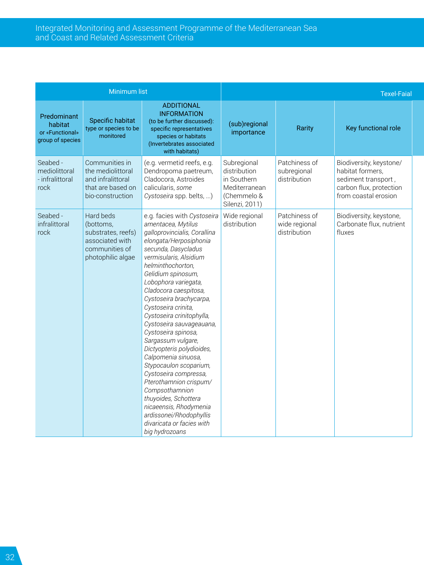|                                                               | <b>Minimum list</b>                                                                                    |                                                                                                                                                                                                                                                                                                                                                                                                                                                                                                                                                                                                                                                                                                 |                                                                                              |                                                | <b>Texel-Faial</b>                                                                                                    |  |
|---------------------------------------------------------------|--------------------------------------------------------------------------------------------------------|-------------------------------------------------------------------------------------------------------------------------------------------------------------------------------------------------------------------------------------------------------------------------------------------------------------------------------------------------------------------------------------------------------------------------------------------------------------------------------------------------------------------------------------------------------------------------------------------------------------------------------------------------------------------------------------------------|----------------------------------------------------------------------------------------------|------------------------------------------------|-----------------------------------------------------------------------------------------------------------------------|--|
| Predominant<br>habitat<br>or «Functional»<br>group of species | Specific habitat<br>type or species to be<br>monitored                                                 | <b>ADDITIONAL</b><br><b>INFORMATION</b><br>(to be further discussed):<br>specific representatives<br>species or habitats<br>(Invertebrates associated<br>with habitats)                                                                                                                                                                                                                                                                                                                                                                                                                                                                                                                         | (sub)regional<br>importance                                                                  | Rarity                                         | Key functional role                                                                                                   |  |
| Seabed -<br>mediolittoral<br>- infralittoral<br>rock          | Communities in<br>the mediolittoral<br>and infralittoral<br>that are based on<br>bio-construction      | (e.g. vermetid reefs, e.g.<br>Dendropoma paetreum,<br>Cladocora, Astroides<br>calicularis, some<br>Cystoseira spp. belts, )                                                                                                                                                                                                                                                                                                                                                                                                                                                                                                                                                                     | Subregional<br>distribution<br>in Southern<br>Mediterranean<br>(Chemmelo &<br>Silenzi, 2011) | Patchiness of<br>subregional<br>distribution   | Biodiversity, keystone/<br>habitat formers.<br>sediment transport,<br>carbon flux, protection<br>from coastal erosion |  |
| Seabed -<br>infralittoral<br>rock                             | Hard beds<br>(bottoms,<br>substrates, reefs)<br>associated with<br>communities of<br>photophilic algae | e.g. facies with Cystoseira<br>amentacea, Mytilus<br>galloprovincialis, Corallina<br>elongata/Herposiphonia<br>secunda, Dasycladus<br>vermisularis, Alsidium<br>helminthochorton,<br>Gelidium spinosum,<br>Lobophora variegata,<br>Cladocora caespitosa,<br>Cystoseira brachycarpa,<br>Cystoseira crinita,<br>Cystoseira crinitophylla,<br>Cystoseira sauvageauana,<br>Cystoseira spinosa,<br>Sargassum vulgare,<br>Dictyopteris polydioides,<br>Calpomenia sinuosa,<br>Stypocaulon scoparium,<br>Cystoseira compressa,<br>Pterothamnion crispum/<br>Compsothamnion<br>thuyoides, Schottera<br>nicaeensis, Rhodymenia<br>ardissonei/Rhodophyllis<br>divaricata or facies with<br>big hydrozoans | Wide regional<br>distribution                                                                | Patchiness of<br>wide regional<br>distribution | Biodiversity, keystone,<br>Carbonate flux, nutrient<br>fluxes                                                         |  |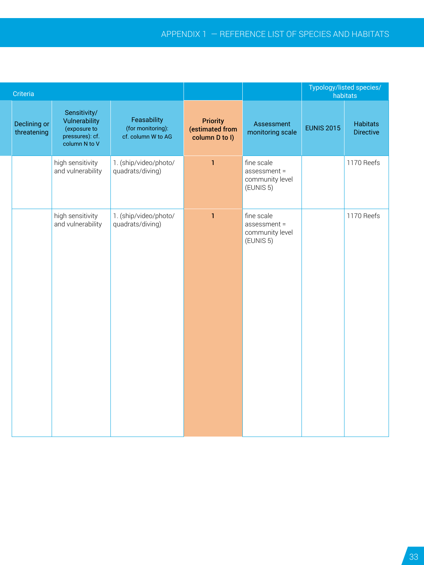|                             | Criteria |                                                                                   |                                                        |                                               |                                                                       | Typology/listed species/<br>$\frac{1}{2}$ habitats |                       |
|-----------------------------|----------|-----------------------------------------------------------------------------------|--------------------------------------------------------|-----------------------------------------------|-----------------------------------------------------------------------|----------------------------------------------------|-----------------------|
| Declining or<br>threatening |          | Sensitivity/<br>Vulnerability<br>(exposure to<br>pressures): cf.<br>column N to V | Feasability<br>(for monitoring):<br>cf. column W to AG | Priority<br>(estimated from<br>column D to I) | Assessment<br>monitoring scale                                        | <b>EUNIS 2015</b>                                  | Habitats<br>Directive |
|                             |          | high sensitivity<br>and vulnerability                                             | 1. (ship/video/photo/<br>quadrats/diving)              | $\mathbf{1}$                                  | fine scale<br>$\sqrt{ }$ assessment =<br>community level<br>(EUNIS 5) |                                                    | 1170 Reefs            |
|                             |          | high sensitivity<br>and vulnerability                                             | 1. (ship/video/photo/<br>quadrats/diving)              | $\mathbf{1}$                                  | fine scale<br>$\sqrt{ }$ assessment =<br>community level<br>(EUNIS 5) |                                                    | 1170 Reefs            |
|                             |          |                                                                                   |                                                        |                                               |                                                                       |                                                    |                       |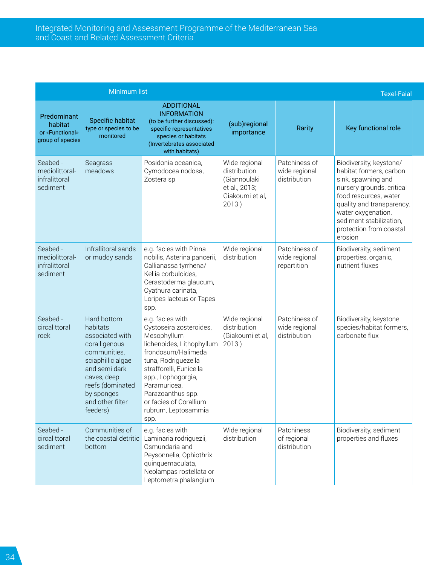|                                                               | <b>Minimum list</b>                                                                                                                                                                                |                                                                                                                                                                                                                                                                                     |                                                                                            |                                                | <b>Texel-Faial</b>                                                                                                                                                                                                                                 |
|---------------------------------------------------------------|----------------------------------------------------------------------------------------------------------------------------------------------------------------------------------------------------|-------------------------------------------------------------------------------------------------------------------------------------------------------------------------------------------------------------------------------------------------------------------------------------|--------------------------------------------------------------------------------------------|------------------------------------------------|----------------------------------------------------------------------------------------------------------------------------------------------------------------------------------------------------------------------------------------------------|
| Predominant<br>habitat<br>or «Functional»<br>group of species | Specific habitat<br>type or species to be<br>monitored                                                                                                                                             | <b>ADDITIONAL</b><br><b>INFORMATION</b><br>(to be further discussed):<br>specific representatives<br>species or habitats<br>(Invertebrates associated<br>with habitats)                                                                                                             | (sub)regional<br>importance                                                                | Rarity                                         | Key functional role                                                                                                                                                                                                                                |
| Seabed -<br>mediolittoral-<br>infralittoral<br>sediment       | Seagrass<br>meadows                                                                                                                                                                                | Posidonia oceanica.<br>Cymodocea nodosa,<br>Zostera sp                                                                                                                                                                                                                              | Wide regional<br>distribution<br>(Giannoulaki<br>et al., 2013;<br>Giakoumi et al,<br>2013) | Patchiness of<br>wide regional<br>distribution | Biodiversity, keystone/<br>habitat formers, carbon<br>sink, spawning and<br>nursery grounds, critical<br>food resources, water<br>quality and transparency,<br>water oxygenation,<br>sediment stabilization.<br>protection from coastal<br>erosion |
| Seabed -<br>mediolittoral-<br>infralittoral<br>sediment       | Infrallitoral sands<br>or muddy sands                                                                                                                                                              | e.g. facies with Pinna<br>nobilis, Asterina pancerii,<br>Callianassa tyrrhena/<br>Kellia corbuloides,<br>Cerastoderma glaucum,<br>Cyathura carinata,<br>Loripes lacteus or Tapes<br>spp.                                                                                            | Wide regional<br>distribution                                                              | Patchiness of<br>wide regional<br>repartition  | Biodiversity, sediment<br>properties, organic,<br>nutrient fluxes                                                                                                                                                                                  |
| Seabed -<br>circalittoral<br>rock                             | Hard bottom<br>habitats<br>associated with<br>coralligenous<br>communities.<br>sciaphillic algae<br>and semi dark<br>caves, deep<br>reefs (dominated<br>by sponges<br>and other filter<br>feeders) | e.g. facies with<br>Cystoseira zosteroides,<br>Mesophyllum<br>lichenoides, Lithophyllum<br>frondosum/Halimeda<br>tuna, Rodriguezella<br>strafforelli, Eunicella<br>spp., Lophogorgia,<br>Paramuricea.<br>Parazoanthus spp.<br>or facies of Corallium<br>rubrum, Leptosammia<br>spp. | Wide regional<br>distribution<br>(Giakoumi et al,<br>2013)                                 | Patchiness of<br>wide regional<br>distribution | Biodiversity, keystone<br>species/habitat formers.<br>carbonate flux                                                                                                                                                                               |
| Seabed -<br>circalittoral<br>sediment                         | Communities of<br>the coastal detritic<br>bottom                                                                                                                                                   | e.g. facies with<br>Laminaria rodriguezii,<br>Osmundaria and<br>Peysonnelia, Ophiothrix<br>quinquemaculata,<br>Neolampas rostellata or<br>Leptometra phalangium                                                                                                                     | Wide regional<br>distribution                                                              | Patchiness<br>of regional<br>distribution      | Biodiversity, sediment<br>properties and fluxes                                                                                                                                                                                                    |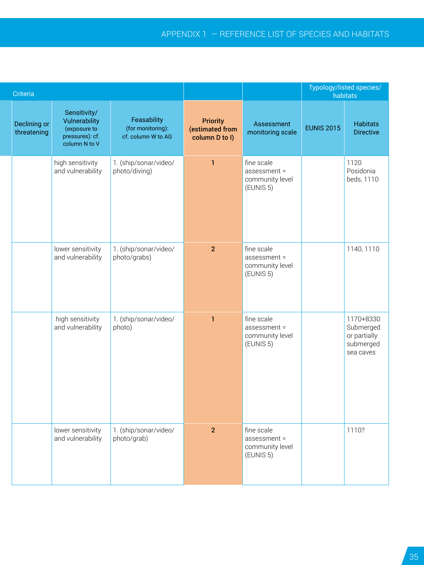| Criteria                    |                                                                                   |                                                        |                                               |                                                            | Typology/listed species/<br>habitats |                                                                  |
|-----------------------------|-----------------------------------------------------------------------------------|--------------------------------------------------------|-----------------------------------------------|------------------------------------------------------------|--------------------------------------|------------------------------------------------------------------|
| Declining or<br>threatening | Sensitivity/<br>Vulnerability<br>(exposure to<br>pressures): cf.<br>column N to V | Feasability<br>(for monitoring):<br>cf. column W to AG | Priority<br>(estimated from<br>column D to I) | Assessment<br>monitoring scale                             | <b>EUNIS 2015</b>                    | Habitats<br>Directive                                            |
|                             | high sensitivity<br>and vulnerability                                             | 1. (ship/sonar/video/<br>photo/diving)                 | $\mathbf{1}$                                  | fine scale<br>assessment =<br>community level<br>(EUNIS 5) |                                      | 1120<br>Posidonia<br>beds, 1110                                  |
|                             | lower sensitivity<br>and vulnerability                                            | 1. (ship/sonar/video/<br>photo/grabs)                  | 2 <sup>7</sup>                                | fine scale<br>assessment =<br>community level<br>(EUNIS 5) |                                      | 1140, 1110                                                       |
|                             | high sensitivity<br>and vulnerability                                             | 1. (ship/sonar/video/<br>photo)                        | $\mathbf{1}$                                  | fine scale<br>assessment =<br>community level<br>(EUNIS 5) |                                      | 1170+8330<br>Submerged<br>or partially<br>submerged<br>sea caves |
|                             | lower sensitivity<br>and vulnerability                                            | 1. (ship/sonar/video/<br>photo/grab)                   | 2 <sup>1</sup>                                | fine scale<br>assessment =<br>community level<br>(EUNIS 5) |                                      | 1110?                                                            |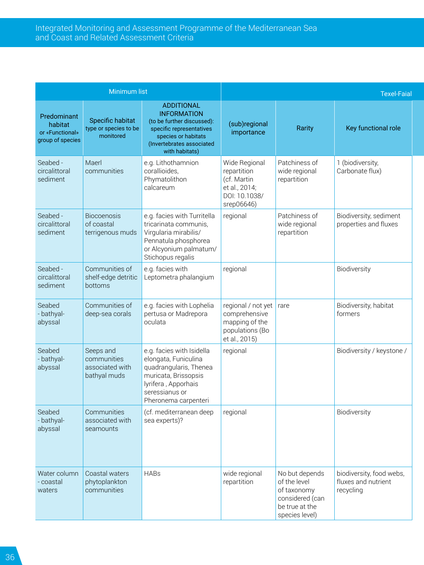|                                                               | <b>Minimum list</b>                                         |                                                                                                                                                                         |                                                                                             |                                                                                                      | <b>Texel-Faial</b>                                           |
|---------------------------------------------------------------|-------------------------------------------------------------|-------------------------------------------------------------------------------------------------------------------------------------------------------------------------|---------------------------------------------------------------------------------------------|------------------------------------------------------------------------------------------------------|--------------------------------------------------------------|
| Predominant<br>habitat<br>or «Functional»<br>group of species | Specific habitat<br>type or species to be<br>monitored      | <b>ADDITIONAL</b><br><b>INFORMATION</b><br>(to be further discussed):<br>specific representatives<br>species or habitats<br>(Invertebrates associated<br>with habitats) | (sub)regional<br>importance                                                                 | Rarity                                                                                               | Key functional role                                          |
| Seabed -<br>circalittoral<br>sediment                         | Maerl<br>communities                                        | e.g. Lithothamnion<br>corallioides.<br>Phymatolithon<br>calcareum                                                                                                       | Wide Regional<br>repartition<br>(cf. Martin<br>et al., 2014;<br>DOI: 10.1038/<br>srep06646) | Patchiness of<br>wide regional<br>repartition                                                        | 1 (biodiversity,<br>Carbonate flux)                          |
| Seabed -<br>circalittoral<br>sediment                         | <b>Biocoenosis</b><br>of coastal<br>terrigenous muds        | e.g. facies with Turritella<br>tricarinata communis,<br>Virgularia mirabilis/<br>Pennatula phosphorea<br>or Alcyonium palmatum/<br>Stichopus regalis                    | regional                                                                                    | Patchiness of<br>wide regional<br>repartition                                                        | Biodiversity, sediment<br>properties and fluxes              |
| Seabed -<br>circalittoral<br>sediment                         | Communities of<br>shelf-edge detritic<br>bottoms            | e.g. facies with<br>Leptometra phalangium                                                                                                                               | regional                                                                                    |                                                                                                      | Biodiversity                                                 |
| Seabed<br>- bathyal-<br>abyssal                               | Communities of<br>deep-sea corals                           | e.g. facies with Lophelia<br>pertusa or Madrepora<br>oculata                                                                                                            | regional / not yet<br>comprehensive<br>mapping of the<br>populations (Bo<br>et al., 2015)   | rare                                                                                                 | Biodiversity, habitat<br>formers                             |
| Seabed<br>- bathyal-<br>abyssal                               | Seeps and<br>communities<br>associated with<br>bathyal muds | e.g. facies with Isidella<br>elongata, Funiculina<br>quadrangularis, Thenea<br>muricata, Brissopsis<br>lyrifera, Apporhais<br>seressianus or<br>Pheronema carpenteri    | regional                                                                                    |                                                                                                      | Biodiversity / keystone /                                    |
| Seabed<br>- bathyal-<br>abyssal                               | Communities<br>associated with<br>seamounts                 | (cf. mediterranean deep<br>sea experts)?                                                                                                                                | regional                                                                                    |                                                                                                      | <b>Biodiversity</b>                                          |
| Water column<br>- coastal<br>waters                           | Coastal waters<br>phytoplankton<br>communities              | <b>HABs</b>                                                                                                                                                             | wide regional<br>repartition                                                                | No but depends<br>of the level<br>of taxonomy<br>considered (can<br>be true at the<br>species level) | biodiversity, food webs,<br>fluxes and nutrient<br>recycling |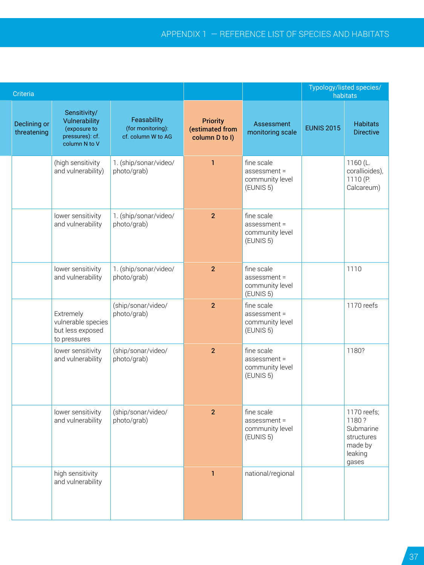| Criteria                    |                                                                                   |                                                        |                                                      |                                                                               |                   | Typology/listed species/<br>habitats                                           |
|-----------------------------|-----------------------------------------------------------------------------------|--------------------------------------------------------|------------------------------------------------------|-------------------------------------------------------------------------------|-------------------|--------------------------------------------------------------------------------|
| Declining or<br>threatening | Sensitivity/<br>Vulnerability<br>(exposure to<br>pressures): cf.<br>column N to V | Feasability<br>(for monitoring):<br>cf. column W to AG | <b>Priority</b><br>(estimated from<br>column D to I) | Assessment<br>monitoring scale                                                | <b>EUNIS 2015</b> | <b>Habitats</b><br><b>Directive</b>                                            |
|                             | (high sensitivity<br>and vulnerability)                                           | 1. (ship/sonar/video/<br>photo/grab)                   | $\mathbf{1}$                                         | fine scale<br>$\sqrt{ }$ assessment =<br>community level<br>EUNIS 5           |                   | 1160 (L.<br>corallioides),<br>1110 (P.<br>Calcareum)                           |
|                             | lower sensitivity<br>and vulnerability                                            | 1. (ship/sonar/video/<br>photo/grab)                   | 2 <sup>1</sup>                                       | fine scale<br>$\sqrt{ }$ assessment =<br>community level<br>EUNIS 5           |                   |                                                                                |
|                             | lower sensitivity<br>and vulnerability                                            | 1. (ship/sonar/video/<br>photo/grab)                   | 2 <sup>2</sup>                                       | fine scale<br>$\sqrt{ }$ assessment =<br>community level<br>$\left($ EUNIS 5) |                   | 1110                                                                           |
|                             | Extremely<br>vulnerable species<br>but less exposed<br>to pressures               | (ship/sonar/video/<br>photo/grab)                      | 2 <sup>7</sup>                                       | fine scale<br>$\sqrt{ }$ assessment =<br>community level<br>EUNIS 5           |                   | 1170 reefs                                                                     |
|                             | lower sensitivity<br>and vulnerability                                            | (ship/sonar/video/<br>photo/grab)                      | $\overline{2}$                                       | fine scale<br>$\sqrt{ }$ assessment =<br>community level<br>EUNIS 5)          |                   | 1180?                                                                          |
|                             | lower sensitivity<br>and vulnerability                                            | (ship/sonar/video/<br>photo/grab)                      | 2 <sup>1</sup>                                       | fine scale<br>$\sqrt{ }$ assessment =<br>community level<br>$\left($ EUNIS 5) |                   | 1170 reefs;<br>1180?<br>Submarine<br>structures<br>made by<br>leaking<br>gases |
|                             | high sensitivity<br>and vulnerability                                             |                                                        | -1                                                   | national/regional                                                             |                   |                                                                                |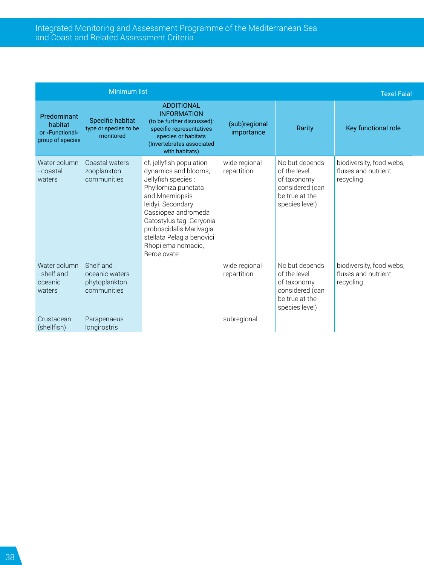|                                                               | <b>Minimum list</b>                                         |                                                                                                                                                                                                                                                                                        |                              |                                                                                                      | <b>Texel-Faial</b>                                           |
|---------------------------------------------------------------|-------------------------------------------------------------|----------------------------------------------------------------------------------------------------------------------------------------------------------------------------------------------------------------------------------------------------------------------------------------|------------------------------|------------------------------------------------------------------------------------------------------|--------------------------------------------------------------|
| Predominant<br>habitat<br>or «Functional»<br>group of species | Specific habitat<br>type or species to be<br>monitored      | <b>ADDITIONAL</b><br><b>INFORMATION</b><br>(to be further discussed):<br>specific representatives<br>species or habitats<br>(Invertebrates associated<br>with habitats)                                                                                                                | (sub)regional<br>importance  | Rarity                                                                                               | Key functional role                                          |
| Water column<br>- coastal<br>waters                           | Coastal waters<br>zooplankton<br>communities                | cf. jellyfish population<br>dynamics and blooms;<br>Jellyfish species :<br>Phyllorhiza punctata<br>and Mnemiopsis<br>leidyi. Secondary<br>Cassiopea andromeda<br>Catostylus tagi Geryonia<br>proboscidalis Marivagia<br>stellata Pelagia benovici<br>Rhopilema nomadic,<br>Beroe ovate | wide regional<br>repartition | No but depends<br>of the level<br>of taxonomy<br>considered (can<br>be true at the<br>species level) | biodiversity, food webs,<br>fluxes and nutrient<br>recycling |
| Water column<br>- shelf and<br>oceanic<br>waters              | Shelf and<br>oceanic waters<br>phytoplankton<br>communities |                                                                                                                                                                                                                                                                                        | wide regional<br>repartition | No but depends<br>of the level<br>of taxonomy<br>considered (can<br>be true at the<br>species level) | biodiversity, food webs,<br>fluxes and nutrient<br>recycling |
| Crustacean<br>(shellfish)                                     | Parapenaeus<br>longirostris                                 |                                                                                                                                                                                                                                                                                        | subregional                  |                                                                                                      |                                                              |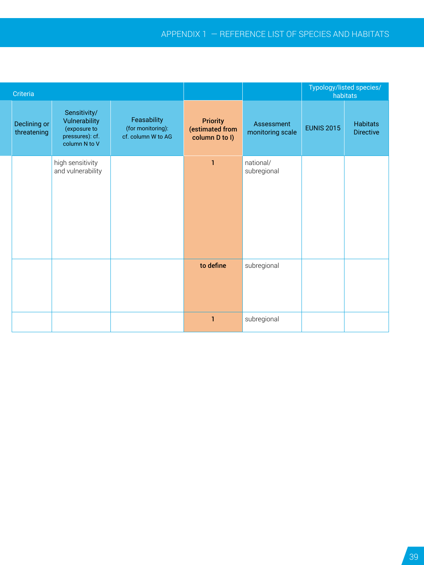| Criteria                    |                                                                                   |                                                        |                                                      |                                | Typology/listed species/ | habitats              |
|-----------------------------|-----------------------------------------------------------------------------------|--------------------------------------------------------|------------------------------------------------------|--------------------------------|--------------------------|-----------------------|
| Declining or<br>threatening | Sensitivity/<br>Vulnerability<br>(exposure to<br>pressures): cf.<br>column N to V | Feasability<br>(for monitoring):<br>cf. column W to AG | <b>Priority</b><br>(estimated from<br>column D to I) | Assessment<br>monitoring scale | <b>EUNIS 2015</b>        | Habitats<br>Directive |
|                             | high sensitivity<br>and vulnerability                                             |                                                        | $\mathbf{1}$                                         | national/<br>subregional       |                          |                       |
|                             |                                                                                   |                                                        | to define                                            | subregional                    |                          |                       |
|                             |                                                                                   |                                                        | $\mathbf{1}$                                         | subregional                    |                          |                       |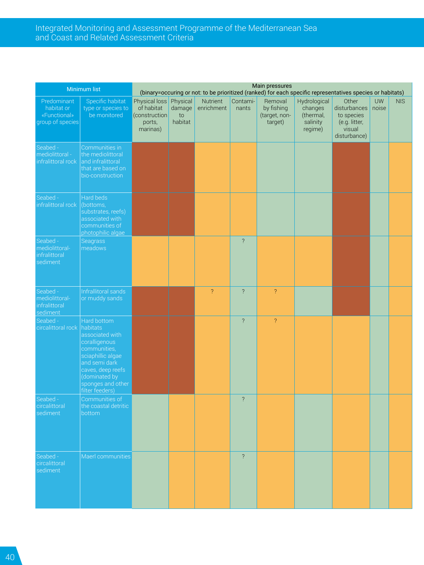#### Integrated Monitoring and Assessment Programme of the Mediterranean Sea and Coast and Related Assessment Criteria

|                                                               | Minimum list                                                                                                                                                                                    |                                                                             |                            |                                 |                | Main pressures                                    | (binary=occuring or not: to be prioritized (ranked) for each specific representatives species or habitats) |                                                                                      |           |            |
|---------------------------------------------------------------|-------------------------------------------------------------------------------------------------------------------------------------------------------------------------------------------------|-----------------------------------------------------------------------------|----------------------------|---------------------------------|----------------|---------------------------------------------------|------------------------------------------------------------------------------------------------------------|--------------------------------------------------------------------------------------|-----------|------------|
| Predominant<br>habitat or<br>«Functional»<br>group of species | Specific habitat<br>type or species to<br>be monitored                                                                                                                                          | Physical loss Physical<br>of habitat<br>(construction<br>ports,<br>marinas) | $d$ amage<br>to<br>habitat | Nutrient Contami-<br>enrichment | nants          | Removal<br>by fishing<br>(target, non-<br>target) | Hydrological<br>changes<br>(thermal,<br>salinity<br>regime)                                                | Other<br>disturbances noise<br>to species<br>(e.g. litter,<br>visual<br>disturbance) | <b>UW</b> | <b>NIS</b> |
| Seabed -<br>nediolittoral -<br>nfralittoral rock              | Communities in<br>the mediolittoral<br>and infralittoral<br>that are based on<br>bio-construction                                                                                               |                                                                             |                            |                                 |                |                                                   |                                                                                                            |                                                                                      |           |            |
| Seabed -<br>nfralittoral rock                                 | Hard beds<br>(bottoms,<br>substrates, reefs)<br>associated with<br>communities of<br>photophilic algae                                                                                          |                                                                             |                            |                                 |                |                                                   |                                                                                                            |                                                                                      |           |            |
| Seabed -<br>mediolittoral-<br>infralittoral<br>sediment       | Seagrass<br>meadows                                                                                                                                                                             |                                                                             |                            |                                 | $\overline{?}$ |                                                   |                                                                                                            |                                                                                      |           |            |
| Seabed -<br>mediolittoral-<br><b>nfralittoral</b><br>ediment  | Infrallitoral sands<br>or muddy sands                                                                                                                                                           |                                                                             |                            | $\overline{?}$                  | $\overline{?}$ | $\overline{?}$                                    |                                                                                                            |                                                                                      |           |            |
| Seabed -<br>ircalittoral rock                                 | Hard bottom<br>habitats<br>associated with<br>coralligenous<br>communities,<br>sciaphillic algae<br>and semi dark<br>caves, deep reefs<br>(dominated by<br>sponges and other<br>filter feeders) |                                                                             |                            |                                 | $\overline{2}$ | $\overline{?}$                                    |                                                                                                            |                                                                                      |           |            |
| Seabed -<br>ircalittoral<br>sediment                          | Communities of<br>the coastal detritic<br>bottom                                                                                                                                                |                                                                             |                            |                                 | $\overline{?}$ |                                                   |                                                                                                            |                                                                                      |           |            |
| Seabed -<br>circalittoral<br>sediment                         | Maerl communities                                                                                                                                                                               |                                                                             |                            |                                 | $\overline{?}$ |                                                   |                                                                                                            |                                                                                      |           |            |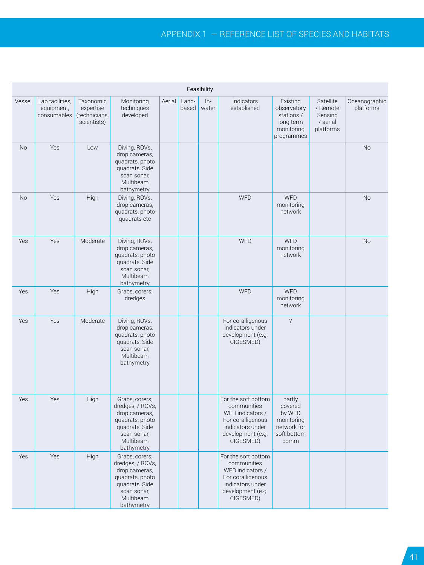### Appendix 1 ― Reference list of species and habitats

|        |                                                                      |                          |                                                                                                                                    |              | Feasibility            |                                                                                                                                   |                                                                                 |                                                           |                            |
|--------|----------------------------------------------------------------------|--------------------------|------------------------------------------------------------------------------------------------------------------------------------|--------------|------------------------|-----------------------------------------------------------------------------------------------------------------------------------|---------------------------------------------------------------------------------|-----------------------------------------------------------|----------------------------|
| Vessel | Lab facilities, Taxonomic<br>equipment,<br>consumables (technicians, | expertise<br>scientists) | Monitoring<br>techniques<br>developed                                                                                              | Aerial Land- | $ln-$<br>based   water | Indicators<br>established                                                                                                         | Existing<br>observatory<br>stations /<br>long term<br>monitoring<br>programmes  | Satellite<br>/ Remote<br>Sensing<br>/ aerial<br>platforms | Oceanographic<br>platforms |
| No     | Yes                                                                  | Low                      | Diving, ROVs,<br>drop cameras,<br>quadrats, photo<br>quadrats, Side<br>scan sonar,<br>Multibeam<br>bathymetry                      |              |                        |                                                                                                                                   |                                                                                 |                                                           | No                         |
| No     | Yes                                                                  | High                     | Diving, ROVs,<br>drop cameras,<br>quadrats, photo<br>quadrats etc                                                                  |              |                        | <b>WFD</b>                                                                                                                        | WFD<br>monitoring<br>network                                                    |                                                           | <b>No</b>                  |
| Yes    | Yes                                                                  | Moderate                 | Diving, ROVs,<br>drop cameras,<br>quadrats, photo<br>quadrats, Side<br>scan sonar,<br>Multibeam<br>bathymetry                      |              |                        | <b>WFD</b>                                                                                                                        | <b>WFD</b><br>monitoring<br>network                                             |                                                           | <b>No</b>                  |
| Yes    | Yes                                                                  | High                     | Grabs, corers;<br>dredges                                                                                                          |              |                        | <b>WFD</b>                                                                                                                        | WFD<br>monitoring<br>network                                                    |                                                           |                            |
| Yes    | Yes                                                                  | Moderate                 | Diving, ROVs,<br>drop cameras,<br>quadrats, photo<br>quadrats, Side<br>scan sonar,<br>Multibeam<br>bathymetry                      |              |                        | For coralligenous<br>indicators under<br>development (e.g.<br>CIGESMED)                                                           | $\overline{?}$                                                                  |                                                           |                            |
| Yes    | Yes                                                                  | High                     | Grabs, corers;<br>dredges, / ROVs,<br>drop cameras,<br>quadrats, photo<br>quadrats, Side<br>scan sonar,<br>Multibeam<br>bathymetry |              |                        | For the soft bottom<br>communities<br>WFD indicators /<br>For coralligenous<br>indicators under<br>development (e.g.<br>CIGESMED) | partly<br>covered<br>by WFD<br>monitoring<br>network for<br>soft bottom<br>comm |                                                           |                            |
| Yes    | Yes                                                                  | High                     | Grabs, corers;<br>dredges, / ROVs,<br>drop cameras,<br>quadrats, photo<br>quadrats, Side<br>scan sonar,<br>Multibeam<br>bathymetry |              |                        | For the soft bottom<br>communities<br>WFD indicators /<br>For coralligenous<br>indicators under<br>development (e.g.<br>CIGESMED) |                                                                                 |                                                           |                            |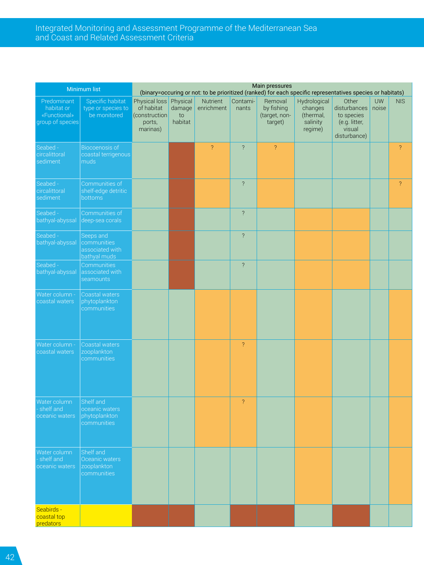#### Integrated Monitoring and Assessment Programme of the Mediterranean Sea and Coast and Related Assessment Criteria

|                                                               | Minimum list                                                |                                                                             |               |                               |                   | Main pressures                                    |                                                             | (binary=occuring or not: to be prioritized (ranked) for each specific representatives species or habitats) |    |                |
|---------------------------------------------------------------|-------------------------------------------------------------|-----------------------------------------------------------------------------|---------------|-------------------------------|-------------------|---------------------------------------------------|-------------------------------------------------------------|------------------------------------------------------------------------------------------------------------|----|----------------|
| Predominant<br>habitat or<br>«Functional»<br>group of species | Specific habitat<br>type or species to<br>be monitored      | Physical loss Physical<br>of habitat<br>(construction<br>ports,<br>marinas) | to<br>habitat | Nutrient<br>damage enrichment | Contami-<br>nants | Removal<br>by fishing<br>(target, non-<br>target) | Hydrological<br>changes<br>(thermal,<br>salinity<br>regime) | Other<br>disturbances noise<br>to species<br>(e.g. litter,<br>visual<br>disturbance)                       | UW | <b>NIS</b>     |
| Seabed -<br>circalittoral<br>sediment                         | Biocoenosis of<br>coastal terrigenous<br>muds               |                                                                             |               | $\overline{?}$                | $\overline{?}$    | $\overline{?}$                                    |                                                             |                                                                                                            |    | $\overline{?}$ |
| Seabed -<br>circalittoral<br>sediment                         | Communities of<br>shelf-edge detritic<br>bottoms            |                                                                             |               |                               | $\overline{?}$    |                                                   |                                                             |                                                                                                            |    | $\overline{?}$ |
| Seabed -<br>bathyal-abyssal                                   | Communities of<br>deep-sea corals                           |                                                                             |               |                               | $\overline{?}$    |                                                   |                                                             |                                                                                                            |    |                |
| Seabed -<br>bathyal-abyssal                                   | Seeps and<br>communities<br>associated with<br>bathyal muds |                                                                             |               |                               | $\overline{?}$    |                                                   |                                                             |                                                                                                            |    |                |
| Seabed -<br>bathyal-abyssal                                   | Communities<br>associated with<br>seamounts                 |                                                                             |               |                               | $\overline{?}$    |                                                   |                                                             |                                                                                                            |    |                |
| Water column -<br>coastal waters                              | Coastal waters<br>phytoplankton<br>communities              |                                                                             |               |                               |                   |                                                   |                                                             |                                                                                                            |    |                |
| Mater column -<br>coastal waters                              | Coastal waters<br>zooplankton<br>communities                |                                                                             |               |                               | $\overline{?}$    |                                                   |                                                             |                                                                                                            |    |                |
| Water column<br>shelf and<br>oceanic waters                   | Shelf and<br>oceanic waters<br>phytoplankton<br>communities |                                                                             |               |                               | $\overline{?}$    |                                                   |                                                             |                                                                                                            |    |                |
| Water column Shelf and<br>- shelf and<br>oceanic waters       | Oceanic waters<br>zooplankton<br>communities                |                                                                             |               |                               |                   |                                                   |                                                             |                                                                                                            |    |                |
| Seabirds -<br>coastal top<br>predators                        |                                                             |                                                                             |               |                               |                   |                                                   |                                                             |                                                                                                            |    |                |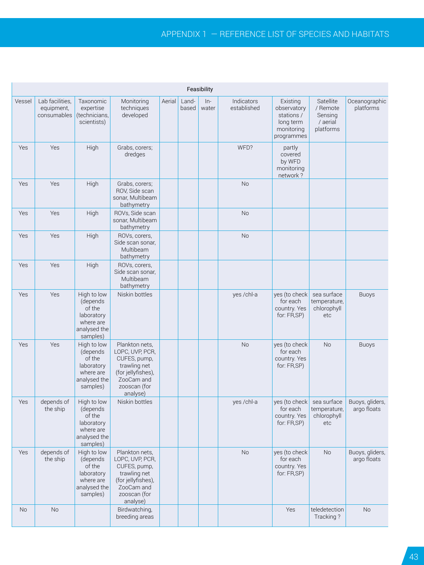|        |                                              |                                                                                          |                                                                                                                                   |        |       | Feasibility            |                           |                                                                                |                                                                 |                                |
|--------|----------------------------------------------|------------------------------------------------------------------------------------------|-----------------------------------------------------------------------------------------------------------------------------------|--------|-------|------------------------|---------------------------|--------------------------------------------------------------------------------|-----------------------------------------------------------------|--------------------------------|
| Vessel | Lab facilities,<br>equipment,<br>consumables | Taxonomic<br>expertise<br>(technicians,<br>scientists)                                   | Monitoring<br>techniques<br>developed                                                                                             | Aerial | Land- | $In-$<br>based   water | Indicators<br>established | Existing<br>observatory<br>stations /<br>long term<br>monitoring<br>programmes | Satellite<br>/ Remote<br>Sensing<br>/ aerial<br>platforms       | Oceanographic<br>platforms     |
| Yes    | Yes                                          | High                                                                                     | Grabs, corers;<br>dredges                                                                                                         |        |       |                        | WFD?                      | partly<br>covered<br>by WFD<br>monitoring<br>network?                          |                                                                 |                                |
| Yes    | Yes                                          | High                                                                                     | Grabs, corers;<br>ROV, Side scan<br>sonar, Multibeam<br>bathymetry                                                                |        |       |                        | <b>No</b>                 |                                                                                |                                                                 |                                |
| Yes    | Yes                                          | High                                                                                     | ROVs, Side scan<br>sonar, Multibeam<br>bathymetry                                                                                 |        |       |                        | No                        |                                                                                |                                                                 |                                |
| Yes    | Yes                                          | High                                                                                     | ROVs, corers,<br>Side scan sonar,<br>Multibeam<br>bathymetry                                                                      |        |       |                        | No                        |                                                                                |                                                                 |                                |
| Yes    | Yes                                          | High                                                                                     | ROVs, corers,<br>Side scan sonar,<br>Multibeam<br>bathymetry                                                                      |        |       |                        |                           |                                                                                |                                                                 |                                |
| Yes    | Yes                                          | High to low<br>(depends<br>of the<br>laboratory<br>where are<br>analysed the<br>samples) | Niskin bottles                                                                                                                    |        |       |                        | yes /chl-a                | yes (to check sea surface<br>for each<br>country. Yes<br>for: FR,SP)           | temperature,<br>chlorophyll<br>etc                              | Buoys                          |
| Yes    | Yes                                          | High to low<br>(depends<br>of the<br>laboratory<br>where are<br>analysed the<br>samples) | Plankton nets,<br>LOPC, UVP, PCR,<br>CUFES, pump,<br>trawling net<br>(for jellyfishes),<br>ZooCam and<br>zooscan (for<br>analyse) |        |       |                        | No                        | yes (to check<br>for each<br>country. Yes<br>for: FR,SP)                       | <b>No</b>                                                       | <b>Buoys</b>                   |
| Yes    | depends of<br>the ship                       | High to low<br>(depends<br>of the<br>laboratory<br>where are<br>analysed the<br>samples) | Niskin bottles                                                                                                                    |        |       |                        | yes /chl-a                | for each<br>country. Yes<br>for: FR,SP)                                        | yes (to check sea surface<br>temperature,<br>chlorophyll<br>etc | Buoys, gliders,<br>argo floats |
| Yes    | depends of<br>the ship                       | High to low<br>(depends<br>of the<br>laboratory<br>where are<br>analysed the<br>samples) | Plankton nets,<br>LOPC, UVP, PCR,<br>CUFES, pump,<br>trawling net<br>(for jellyfishes),<br>ZooCam and<br>zooscan (for<br>analyse) |        |       |                        | No                        | yes (to check<br>for each<br>country. Yes<br>for: FR,SP)                       | <b>No</b>                                                       | Buoys, gliders,<br>argo floats |
| No     | No                                           |                                                                                          | Birdwatching,<br>breeding areas                                                                                                   |        |       |                        |                           | Yes                                                                            | teledetection<br>Tracking?                                      | $\rm No$                       |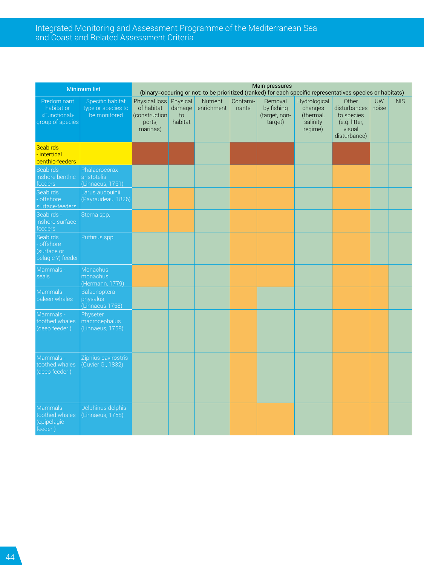#### <span id="page-43-0"></span>Integrated Monitoring and Assessment Programme of the Mediterranean Sea and Coast and Related Assessment Criteria

|                                                               | Minimum list                                           | Main pressures<br>(binary=occuring or not: to be prioritized (ranked) for each specific representatives species or habitats) |                            |                        |                   |                                                   |                                                             |                                                                                      |           |            |
|---------------------------------------------------------------|--------------------------------------------------------|------------------------------------------------------------------------------------------------------------------------------|----------------------------|------------------------|-------------------|---------------------------------------------------|-------------------------------------------------------------|--------------------------------------------------------------------------------------|-----------|------------|
| Predominant<br>habitat or<br>«Functional»<br>group of species | Specific habitat<br>type or species to<br>be monitored | Physical loss Physical<br>of habitat<br>(construction<br>ports,<br>marinas)                                                  | $d$ amage<br>to<br>habitat | Nutrient<br>enrichment | Contami-<br>nants | Removal<br>by fishing<br>(target, non-<br>target) | Hydrological<br>changes<br>(thermal,<br>salinity<br>regime) | Other<br>disturbances noise<br>to species<br>(e.g. litter,<br>visual<br>disturbance) | <b>UW</b> | <b>NIS</b> |
| Seabirds<br>- intertidal<br>benthic-feeders                   |                                                        |                                                                                                                              |                            |                        |                   |                                                   |                                                             |                                                                                      |           |            |
| Seabirds -<br>nshore benthic<br>eeders                        | Phalacrocorax<br>aristotelis<br>(Linnaeus, 1761)       |                                                                                                                              |                            |                        |                   |                                                   |                                                             |                                                                                      |           |            |
| <b>Seabirds</b><br>offshore<br>surface-feeders                | Larus audouinii<br>(Payraudeau, 1826)                  |                                                                                                                              |                            |                        |                   |                                                   |                                                             |                                                                                      |           |            |
| Seabirds -<br>inshore surface-<br>eeders                      | Sterna spp.                                            |                                                                                                                              |                            |                        |                   |                                                   |                                                             |                                                                                      |           |            |
| Seabirds<br>offshore<br>surface or<br>pelagic ?) feeder       | Puffinus spp.                                          |                                                                                                                              |                            |                        |                   |                                                   |                                                             |                                                                                      |           |            |
| Mammals -<br>seals                                            | Monachus<br>monachus<br>(Hermann, 1779)                |                                                                                                                              |                            |                        |                   |                                                   |                                                             |                                                                                      |           |            |
| Mammals -<br>baleen whales                                    | Balaenoptera<br>physalus<br>Linnaeus 1758)             |                                                                                                                              |                            |                        |                   |                                                   |                                                             |                                                                                      |           |            |
| Mammals -<br>oothed whales<br>deep feeder)                    | Physeter<br>macrocephalus<br>(Linnaeus, 1758)          |                                                                                                                              |                            |                        |                   |                                                   |                                                             |                                                                                      |           |            |
| Mammals -<br>toothed whales<br>(deep feeder)                  | Ziphius cavirostris<br>(Cuvier G., 1832)               |                                                                                                                              |                            |                        |                   |                                                   |                                                             |                                                                                      |           |            |
| Mammals -<br>toothed whales<br>epipelagic<br>feeder)          | Delphinus delphis<br>(Linnaeus, 1758)                  |                                                                                                                              |                            |                        |                   |                                                   |                                                             |                                                                                      |           |            |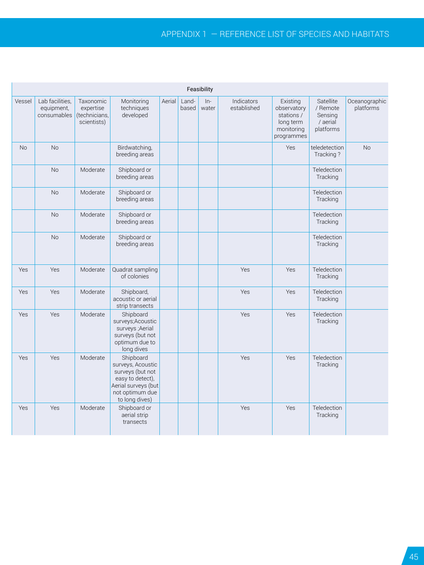### Appendix 1 ― Reference list of species and habitats

| Feasibility |                               |                                                                    |                                                                                                                                    |  |              |                      |                           |                                                                                |                                                           |                            |
|-------------|-------------------------------|--------------------------------------------------------------------|------------------------------------------------------------------------------------------------------------------------------------|--|--------------|----------------------|---------------------------|--------------------------------------------------------------------------------|-----------------------------------------------------------|----------------------------|
| Vessel      | Lab facilities,<br>equipment, | Taxonomic<br>expertise<br>consumables (technicians,<br>scientists) | Monitoring<br>techniques<br>developed                                                                                              |  | Aerial Land- | $ln-$<br>based water | Indicators<br>established | Existing<br>observatory<br>stations /<br>long term<br>monitoring<br>programmes | Satellite<br>/ Remote<br>Sensing<br>/ aerial<br>platforms | Oceanographic<br>platforms |
| <b>No</b>   | No                            |                                                                    | Birdwatching,<br>breeding areas                                                                                                    |  |              |                      |                           | Yes                                                                            | teledetection<br>Tracking?                                | <b>No</b>                  |
|             | No                            | Moderate                                                           | Shipboard or<br>breeding areas                                                                                                     |  |              |                      |                           |                                                                                | Teledection<br>Tracking                                   |                            |
|             | No                            | Moderate                                                           | Shipboard or<br>breeding areas                                                                                                     |  |              |                      |                           |                                                                                | Teledection<br>Tracking                                   |                            |
|             | No                            | Moderate                                                           | Shipboard or<br>breeding areas                                                                                                     |  |              |                      |                           |                                                                                | Teledection<br>Tracking                                   |                            |
|             | <b>No</b>                     | Moderate                                                           | Shipboard or<br>breeding areas                                                                                                     |  |              |                      |                           |                                                                                | Teledection<br>Tracking                                   |                            |
| Yes         | Yes                           | Moderate                                                           | Quadrat sampling<br>of colonies                                                                                                    |  |              |                      | Yes                       | Yes                                                                            | Teledection<br>Tracking                                   |                            |
| Yes         | Yes                           | Moderate                                                           | Shipboard,<br>acoustic or aerial<br>strip transects                                                                                |  |              |                      | Yes                       | Yes                                                                            | Teledection<br>Tracking                                   |                            |
| Yes         | Yes                           | Moderate                                                           | Shipboard<br>surveys; Acoustic<br>surveys ;Aerial<br>surveys (but not<br>optimum due to<br>long dives                              |  |              |                      | Yes                       | Yes                                                                            | Teledection<br>Tracking                                   |                            |
| Yes         | Yes                           | Moderate                                                           | Shipboard<br>surveys, Acoustic<br>surveys (but not<br>easy to detect),<br>Aerial surveys (but<br>not optimum due<br>to long dives) |  |              |                      | Yes                       | Yes                                                                            | Teledection<br>Tracking                                   |                            |
| Yes         | Yes                           | Moderate                                                           | Shipboard or<br>aerial strip<br>transects                                                                                          |  |              |                      | Yes                       | Yes                                                                            | Teledection<br>Tracking                                   |                            |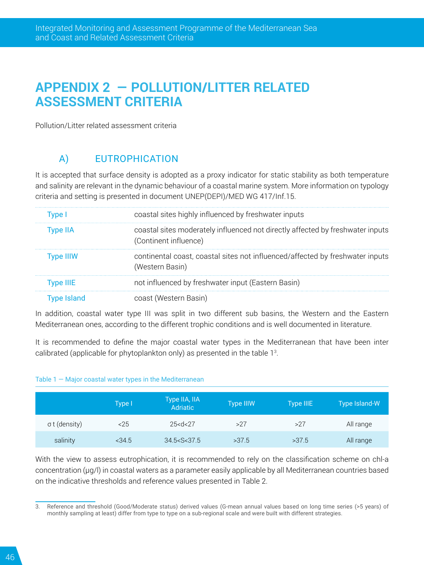# **APPENDIX 2 ― POLLUTION/LITTER RELATED ASSESSMENT CRITERIA**

Pollution/Litter related assessment criteria

# A) EUTROPHICATION

It is accepted that surface density is adopted as a proxy indicator for static stability as both temperature and salinity are relevant in the dynamic behaviour of a coastal marine system. More information on typology criteria and setting is presented in document UNEP(DEPI)/MED WG 417/Inf.15.

| Tvpe I    | coastal sites highly influenced by freshwater inputs                                                    |
|-----------|---------------------------------------------------------------------------------------------------------|
| Type IIA  | coastal sites moderately influenced not directly affected by freshwater inputs<br>(Continent influence) |
| Type IIIW | continental coast, coastal sites not influenced/affected by freshwater inputs<br>(Western Basin)        |
| Type IIIE | not influenced by freshwater input (Eastern Basin)                                                      |
|           | coast (Western Basin)                                                                                   |

In addition, coastal water type III was split in two different sub basins, the Western and the Eastern Mediterranean ones, according to the different trophic conditions and is well documented in literature.

It is recommended to define the major coastal water types in the Mediterranean that have been inter calibrated (applicable for phytoplankton only) as presented in the table 13 .

#### Table  $1 -$  Major coastal water types in the Mediterranean

|                      | Type I   | Type IIA, IIA<br><b>Adriatic</b> | <b>Type IIIW</b> | Type IIIE | Type Island-W |
|----------------------|----------|----------------------------------|------------------|-----------|---------------|
| $\sigma$ t (density) | 25       | 25 < d < 27                      | >27              | >27       | All range     |
| salinity             | $<$ 34.5 | 34.5 < S < 37.5                  | >37.5            | >37.5     | All range     |

With the view to assess eutrophication, it is recommended to rely on the classification scheme on chl-a concentration (μg/l) in coastal waters as a parameter easily applicable by all Mediterranean countries based on the indicative thresholds and reference values presented in Table 2.

<sup>3.</sup> Reference and threshold (Good/Moderate status) derived values (G-mean annual values based on long time series (>5 years) of monthly sampling at least) differ from type to type on a sub-regional scale and were built with different strategies.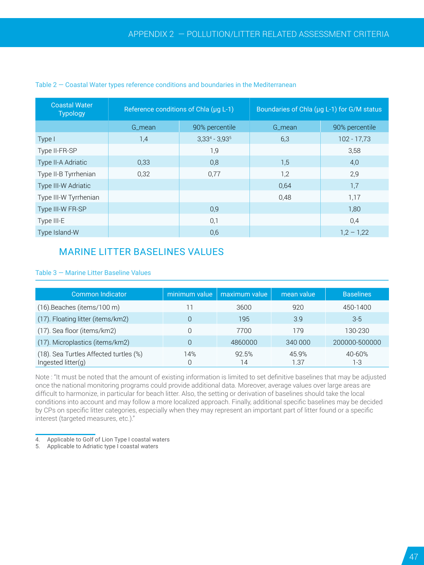| <b>Coastal Water</b><br><b>Typology</b> |        | Reference conditions of Chla (uq L-1) | Boundaries of Chla (µg L-1) for G/M status |                |  |
|-----------------------------------------|--------|---------------------------------------|--------------------------------------------|----------------|--|
|                                         | G mean | 90% percentile                        | G mean                                     | 90% percentile |  |
| Type I                                  | 1,4    | $3,33^4 - 3,93^5$                     | 6,3                                        | $102 - 17,73$  |  |
| Type II-FR-SP                           |        | 1,9                                   |                                            | 3,58           |  |
| Type II-A Adriatic                      | 0,33   | 0,8                                   | 1,5                                        | 4,0            |  |
| Type II-B Tyrrhenian                    | 0,32   | 0,77                                  | 1,2                                        | 2,9            |  |
| Type III-W Adriatic                     |        |                                       | 0,64                                       | 1,7            |  |
| Type III-W Tyrrhenian                   |        |                                       | 0,48                                       | 1,17           |  |
| Type III-W FR-SP                        |        | 0,9                                   |                                            | 1,80           |  |
| Type III-E                              |        | 0,1                                   |                                            | 0,4            |  |
| Type Island-W                           |        | 0,6                                   |                                            | $1,2 - 1,22$   |  |

#### Table  $2$  – Coastal Water types reference conditions and boundaries in the Mediterranean

### MARINE LITTER BASELINES VALUES

| Table 3 – Marine Litter Baseline Values |  |  |
|-----------------------------------------|--|--|
|                                         |  |  |

| <b>Common Indicator</b>                                         | minimum value | maximum value | mean value    | <b>Baselines</b> |
|-----------------------------------------------------------------|---------------|---------------|---------------|------------------|
| $(16)$ . Beaches (items/100 m)                                  |               | 3600          | 920           | 450-1400         |
| (17). Floating litter (items/km2)                               | 0             | 195           | 3.9           | $3-5$            |
| (17). Sea floor (items/km2)                                     | 0             | 7700          | 179           | 130-230          |
| (17). Microplastics (items/km2)                                 | 0             | 4860000       | 340 000       | 200000-500000    |
| (18). Sea Turtles Affected turtles (%)<br>Ingested litter $(q)$ | 14%<br>0      | 92.5%<br>14   | 45.9%<br>1.37 | 40-60%<br>1-3    |

Note : "It must be noted that the amount of existing information is limited to set definitive baselines that may be adjusted once the national monitoring programs could provide additional data. Moreover, average values over large areas are difficult to harmonize, in particular for beach litter. Also, the setting or derivation of baselines should take the local conditions into account and may follow a more localized approach. Finally, additional specific baselines may be decided by CPs on specific litter categories, especially when they may represent an important part of litter found or a specific interest (targeted measures, etc.)."

5. Applicable to Adriatic type I coastal waters

<sup>4.</sup> Applicable to Golf of Lion Type I coastal waters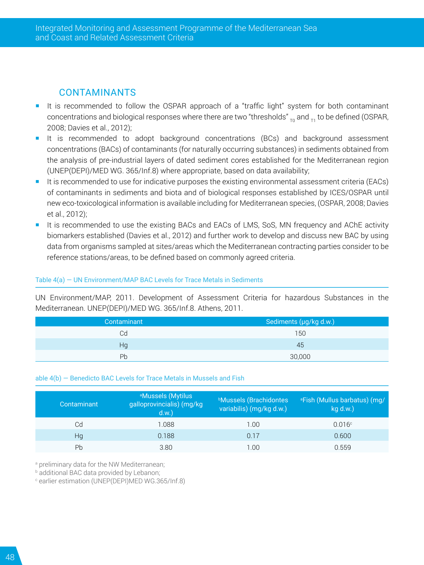### CONTAMINANTS

- It is recommended to follow the OSPAR approach of a "traffic light" system for both contaminant concentrations and biological responses where there are two "thresholds"  $_{\text{To}}$  and  $_{\text{T1}}$  to be defined (OSPAR, 2008; Davies et al., 2012);
- It is recommended to adopt background concentrations (BCs) and background assessment concentrations (BACs) of contaminants (for naturally occurring substances) in sediments obtained from the analysis of pre-industrial layers of dated sediment cores established for the Mediterranean region (UNEP(DEPI)/MED WG. 365/Inf.8) where appropriate, based on data availability;
- It is recommended to use for indicative purposes the existing environmental assessment criteria (EACs) of contaminants in sediments and biota and of biological responses established by ICES/OSPAR until new eco-toxicological information is available including for Mediterranean species, (OSPAR, 2008; Davies et al., 2012);
- It is recommended to use the existing BACs and EACs of LMS, SoS, MN frequency and AChE activity biomarkers established (Davies et al., 2012) and further work to develop and discuss new BAC by using data from organisms sampled at sites/areas which the Mediterranean contracting parties consider to be reference stations/areas, to be defined based on commonly agreed criteria.

#### Table 4(a) ― UN Environment/MAP BAC Levels for Trace Metals in Sediments

UN Environment/MAP, 2011. Development of Assessment Criteria for hazardous Substances in the Mediterranean. UNEP(DEPI)/MED WG. 365/Inf.8. Athens, 2011.

| Contaminant | Sediments (µg/kg d.w.) |
|-------------|------------------------|
| Cd          | 150                    |
| Hq          | 45                     |
| Ph          | 30,000                 |

#### able 4(b) ― Benedicto BAC Levels for Trace Metals in Mussels and Fish

| Contaminant | <sup>a</sup> Mussels (Mytilus<br>galloprovincialis) (mg/kg<br>d.w. | <b>Mussels (Brachidontes</b><br>variabilis) (mg/kg d.w.) | <sup>a</sup> Fish (Mullus barbatus) (mg/<br>$kg$ d.w.) |
|-------------|--------------------------------------------------------------------|----------------------------------------------------------|--------------------------------------------------------|
| Cd          | 1.088                                                              | 1.00                                                     | 0.016c                                                 |
| Hq          | 0.188                                                              | 0.17                                                     | 0.600                                                  |
| Pb          | 3.80                                                               | 1.00                                                     | 0.559                                                  |

a preliminary data for the NW Mediterranean;

b additional BAC data provided by Lebanon;

c earlier estimation (UNEP(DEPI)MED WG.365/Inf.8)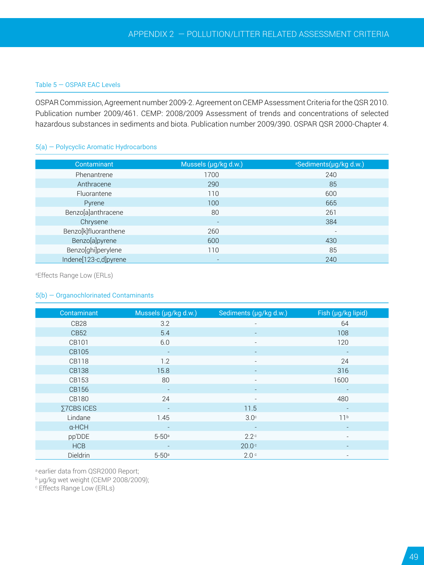#### Table 5 ― OSPAR EAC Levels

OSPAR Commission, Agreement number 2009-2. Agreement on CEMP Assessment Criteria for the QSR 2010. Publication number 2009/461. CEMP: 2008/2009 Assessment of trends and concentrations of selected hazardous substances in sediments and biota. Publication number 2009/390. OSPAR QSR 2000-Chapter 4.

#### 5(a) ― Polycyclic Aromatic Hydrocarbons

| Contaminant           | Mussels (µg/kg d.w.)     | <sup>a</sup> Sediments(µg/kg d.w.) |
|-----------------------|--------------------------|------------------------------------|
| Phenantrene           | 1700                     | 240                                |
| Anthracene            | 290                      | 85                                 |
| Fluorantene           | 110                      | 600                                |
| Pyrene                | 100                      | 665                                |
| Benzo[a]anthracene    | 80                       | 261                                |
| Chrysene              | $\overline{\phantom{a}}$ | 384                                |
| Benzo[k]fluoranthene  | 260                      | $\overline{\phantom{a}}$           |
| Benzo[a]pyrene        | 600                      | 430                                |
| Benzo[ghi]perylene    | 110                      | 85                                 |
| Indene[123-c,d]pyrene |                          | 240                                |

a Effects Range Low (ERLs)

#### 5(b) ― Organochlorinated Contaminants

| Contaminant      | Mussels (µg/kg d.w.)     | Sediments (µg/kg d.w.)   | Fish (µg/kg lipid)       |
|------------------|--------------------------|--------------------------|--------------------------|
| CB <sub>28</sub> | 3.2                      |                          | 64                       |
| CB <sub>52</sub> | 5.4                      |                          | 108                      |
| CB101            | 6.0                      |                          | 120                      |
| CB105            | $\overline{\phantom{a}}$ | $\overline{\phantom{a}}$ | $\overline{\phantom{a}}$ |
| <b>CB118</b>     | 1.2                      |                          | 24                       |
| <b>CB138</b>     | 15.8                     |                          | 316                      |
| CB153            | 80                       |                          | 1600                     |
| CB156            | $\overline{\phantom{0}}$ |                          | $\overline{\phantom{a}}$ |
| <b>CB180</b>     | 24                       |                          | 480                      |
| Σ7CBS ICES       | $\overline{\phantom{a}}$ | 11.5                     |                          |
| Lindane          | 1.45                     | $3.0^\circ$              | 11 <sup>b</sup>          |
| $\alpha$ -HCH    |                          |                          |                          |
| pp'DDE           | $5 - 50$ <sup>a</sup>    | $2.2^\circ$              |                          |
| <b>HCB</b>       |                          | 20.0 <sup>c</sup>        |                          |
| Dieldrin         | $5 - 50$ <sup>a</sup>    | 2.0 <sup>c</sup>         | $\overline{\phantom{a}}$ |

a earlier data from QSR2000 Report;

b μg/kg wet weight (CEMP 2008/2009);

c Effects Range Low (ERLs)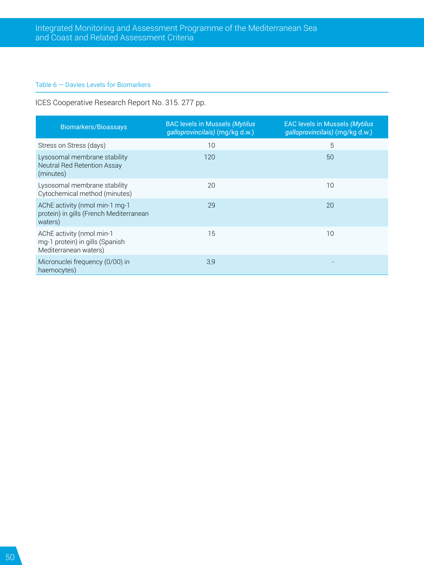#### Table 6 ― Davies Levels for Biomarkers

ICES Cooperative Research Report No. 315. 277 pp.

| <b>Biomarkers/Bioassays</b>                                                           | <b>BAC levels in Mussels (Mytilus</b><br>galloprovincilais) (mg/kg d.w.) | <b>EAC levels in Mussels (Mytilus</b><br>galloprovincilais) (mg/kg d.w.) |
|---------------------------------------------------------------------------------------|--------------------------------------------------------------------------|--------------------------------------------------------------------------|
| Stress on Stress (days)                                                               | 10                                                                       | 5                                                                        |
| Lysosomal membrane stability<br>Neutral Red Retention Assay<br>(minutes)              | 120                                                                      | 50                                                                       |
| Lysosomal membrane stability<br>Cytochemical method (minutes)                         | 20                                                                       | 10                                                                       |
| AChE activity (nmol min-1 mg-1<br>protein) in gills (French Mediterranean<br>waters)  | 29                                                                       | 20                                                                       |
| AChE activity (nmol min-1<br>mg-1 protein) in gills (Spanish<br>Mediterranean waters) | 15                                                                       | 10                                                                       |
| Micronuclei frequency (0/00) in<br>haemocytes)                                        | 3,9                                                                      |                                                                          |